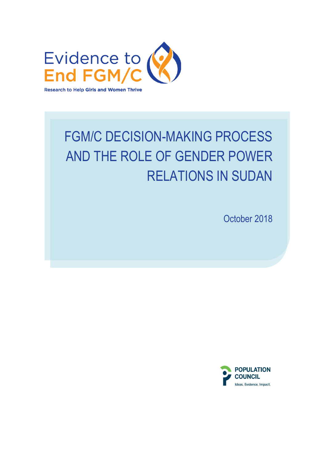

# FGM/C DECISION-MAKING PROCESS AND THE ROLE OF GENDER POWER RELATIONS IN SUDAN

October 2018

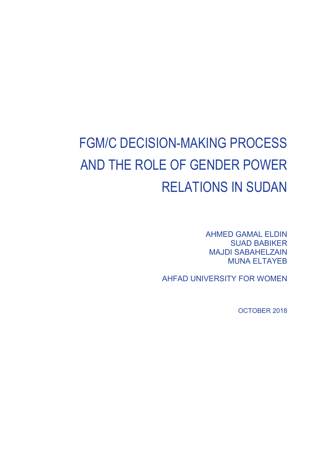# FGM/C DECISION-MAKING PROCESS AND THE ROLE OF GENDER POWER RELATIONS IN SUDAN

AHMED GAMAL ELDIN SUAD BABIKER MAJDI SABAHELZAIN MUNA ELTAYEB

AHFAD UNIVERSITY FOR WOMEN

OCTOBER 2018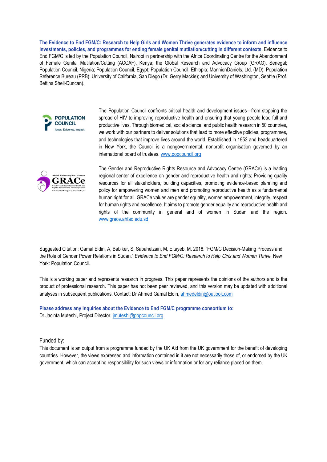**The Evidence to End FGM/C: Research to Help Girls and Women Thrive generates evidence to inform and influence investments, policies, and programmes for ending female genital mutilation/cutting in different contexts.** Evidence to End FGM/C is led by the Population Council, Nairobi in partnership with the Africa Coordinating Centre for the Abandonment of Female Genital Mutilation/Cutting (ACCAF), Kenya; the Global Research and Advocacy Group (GRAG), Senegal; Population Council, Nigeria; Population Council, Egypt; Population Council, Ethiopia; MannionDaniels, Ltd. (MD); Population Reference Bureau (PRB); University of California, San Diego (Dr. Gerry Mackie); and University of Washington, Seattle (Prof. Bettina Shell-Duncan).



The Population Council confronts critical health and development issues—from stopping the spread of HIV to improving reproductive health and ensuring that young people lead full and productive lives. Through biomedical, social science, and public health research in 50 countries, we work with our partners to deliver solutions that lead to more effective policies, programmes, and technologies that improve lives around the world. Established in 1952 and headquartered in New York, the Council is a nongovernmental, nonprofit organisation governed by an international board of trustees. [www.popcouncil.org](http://www.popcouncil.org/)



The Gender and Reproductive Rights Resource and Advocacy Centre (GRACe) is a leading regional center of excellence on gender and reproductive health and rights; Providing quality resources for all stakeholders, building capacities, promoting evidence-based planning and policy for empowering women and men and promoting reproductive health as a fundamental human right for all. GRACe values are gender equality, women empowerment, integrity, respect for human rights and excellence. It aims to promote gender equality and reproductive health and rights of the community in general and of women in Sudan and the region. www.grace.ahfad.edu.sd

Suggested Citation: Gamal Eldin, A, Babiker, S, Sabahelzain, M, Eltayeb, M. 2018. "FGM/C Decision-Making Process and the Role of Gender Power Relations in Sudan." *Evidence to End FGM/C: Research to Help* Girls and *Women Thrive.* New York: Population Council.

This is a working paper and represents research in progress. This paper represents the opinions of the authors and is the product of professional research. This paper has not been peer reviewed, and this version may be updated with additional analyses in subsequent publications. Contact: Dr Ahmed Gamal Eldin, [ahmedeldin@outlook.com](mailto:ahmedeldin@outlook.com)

**Please address any inquiries about the Evidence to End FGM/C programme consortium to:** Dr Jacinta Muteshi, Project Director, [jmuteshi@popcouncil.org](mailto:jmuteshi@popcouncil.org)

Funded by:

This document is an output from a programme funded by the UK Aid from the UK government for the benefit of developing countries. However, the views expressed and information contained in it are not necessarily those of, or endorsed by the UK government, which can accept no responsibility for such views or information or for any reliance placed on them.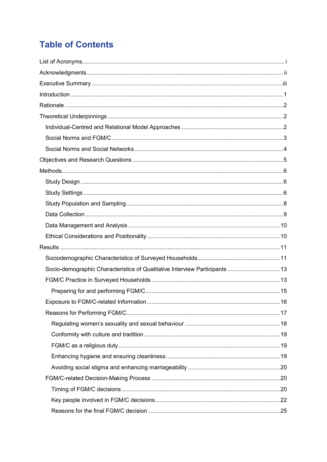# **Table of Contents**

| Socio-demographic Characteristics of Qualitative Interview Participants  13 |  |
|-----------------------------------------------------------------------------|--|
|                                                                             |  |
|                                                                             |  |
|                                                                             |  |
|                                                                             |  |
|                                                                             |  |
|                                                                             |  |
|                                                                             |  |
|                                                                             |  |
|                                                                             |  |
|                                                                             |  |
|                                                                             |  |
|                                                                             |  |
|                                                                             |  |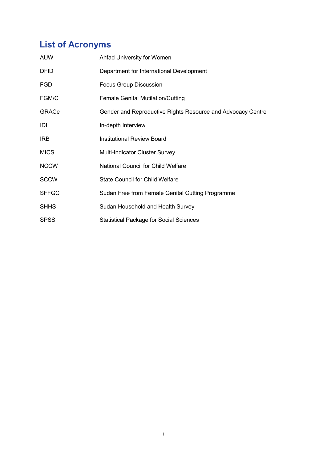# <span id="page-5-0"></span>**List of Acronyms**

| <b>AUW</b>   | Ahfad University for Women                                  |
|--------------|-------------------------------------------------------------|
| <b>DFID</b>  | Department for International Development                    |
| <b>FGD</b>   | <b>Focus Group Discussion</b>                               |
| FGM/C        | <b>Female Genital Mutilation/Cutting</b>                    |
| GRACe        | Gender and Reproductive Rights Resource and Advocacy Centre |
| IDI          | In-depth Interview                                          |
| <b>IRB</b>   | <b>Institutional Review Board</b>                           |
| <b>MICS</b>  | Multi-Indicator Cluster Survey                              |
| <b>NCCW</b>  | <b>National Council for Child Welfare</b>                   |
| <b>SCCW</b>  | <b>State Council for Child Welfare</b>                      |
| <b>SFFGC</b> | Sudan Free from Female Genital Cutting Programme            |
| <b>SHHS</b>  | Sudan Household and Health Survey                           |
| <b>SPSS</b>  | <b>Statistical Package for Social Sciences</b>              |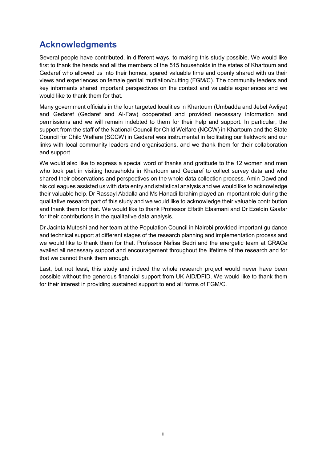# <span id="page-6-0"></span>**Acknowledgments**

Several people have contributed, in different ways, to making this study possible. We would like first to thank the heads and all the members of the 515 households in the states of Khartoum and Gedaref who allowed us into their homes, spared valuable time and openly shared with us their views and experiences on female genital mutilation/cutting (FGM/C). The community leaders and key informants shared important perspectives on the context and valuable experiences and we would like to thank them for that.

Many government officials in the four targeted localities in Khartoum (Umbadda and Jebel Awliya) and Gedaref (Gedaref and Al-Faw) cooperated and provided necessary information and permissions and we will remain indebted to them for their help and support. In particular, the support from the staff of the National Council for Child Welfare (NCCW) in Khartoum and the State Council for Child Welfare (SCCW) in Gedaref was instrumental in facilitating our fieldwork and our links with local community leaders and organisations, and we thank them for their collaboration and support.

We would also like to express a special word of thanks and gratitude to the 12 women and men who took part in visiting households in Khartoum and Gedaref to collect survey data and who shared their observations and perspectives on the whole data collection process. Amin Dawd and his colleagues assisted us with data entry and statistical analysis and we would like to acknowledge their valuable help. Dr Rassayl Abdalla and Ms Hanadi Ibrahim played an important role during the qualitative research part of this study and we would like to acknowledge their valuable contribution and thank them for that. We would like to thank Professor Elfatih Elasmani and Dr Ezeldin Gaafar for their contributions in the qualitative data analysis.

Dr Jacinta Muteshi and her team at the Population Council in Nairobi provided important guidance and technical support at different stages of the research planning and implementation process and we would like to thank them for that. Professor Nafisa Bedri and the energetic team at GRACe availed all necessary support and encouragement throughout the lifetime of the research and for that we cannot thank them enough.

Last, but not least, this study and indeed the whole research project would never have been possible without the generous financial support from UK AID/DFID. We would like to thank them for their interest in providing sustained support to end all forms of FGM/C.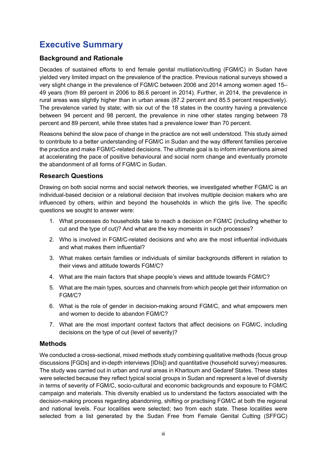# <span id="page-7-0"></span>**Executive Summary**

#### **Background and Rationale**

Decades of sustained efforts to end female genital mutilation/cutting (FGM/C) in Sudan have yielded very limited impact on the prevalence of the practice. Previous national surveys showed a very slight change in the prevalence of FGM/C between 2006 and 2014 among women aged 15– 49 years (from 89 percent in 2006 to 86.6 percent in 2014). Further, in 2014, the prevalence in rural areas was slightly higher than in urban areas (87.2 percent and 85.5 percent respectively). The prevalence varied by state; with six out of the 18 states in the country having a prevalence between 94 percent and 98 percent, the prevalence in nine other states ranging between 78 percent and 89 percent, while three states had a prevalence lower than 70 percent.

Reasons behind the slow pace of change in the practice are not well understood. This study aimed to contribute to a better understanding of FGM/C in Sudan and the way different families perceive the practice and make FGM/C-related decisions. The ultimate goal is to inform interventions aimed at accelerating the pace of positive behavioural and social norm change and eventually promote the abandonment of all forms of FGM/C in Sudan.

#### **Research Questions**

Drawing on both social norms and social network theories, we investigated whether FGM/C is an individual-based decision or a relational decision that involves multiple decision makers who are influenced by others, within and beyond the households in which the girls live. The specific questions we sought to answer were:

- 1. What processes do households take to reach a decision on FGM/C (including whether to cut and the type of cut)? And what are the key moments in such processes?
- 2. Who is involved in FGM/C-related decisions and who are the most influential individuals and what makes them influential?
- 3. What makes certain families or individuals of similar backgrounds different in relation to their views and attitude towards FGM/C?
- 4. What are the main factors that shape people's views and attitude towards FGM/C?
- 5. What are the main types, sources and channels from which people get their information on FGM/C?
- 6. What is the role of gender in decision-making around FGM/C, and what empowers men and women to decide to abandon FGM/C?
- 7. What are the most important context factors that affect decisions on FGM/C, including decisions on the type of cut (level of severity)?

#### **Methods**

We conducted a cross-sectional, mixed methods study combining qualitative methods (focus group discussions [FGDs] and in-depth interviews [IDIs]) and quantitative (household survey) measures. The study was carried out in urban and rural areas in Khartoum and Gedaref States. These states were selected because they reflect typical social groups in Sudan and represent a level of diversity in terms of severity of FGM/C, socio-cultural and economic backgrounds and exposure to FGM/C campaign and materials. This diversity enabled us to understand the factors associated with the decision-making process regarding abandoning, shifting or practising FGM/C at both the regional and national levels. Four localities were selected; two from each state. These localities were selected from a list generated by the Sudan Free from Female Genital Cutting (SFFGC)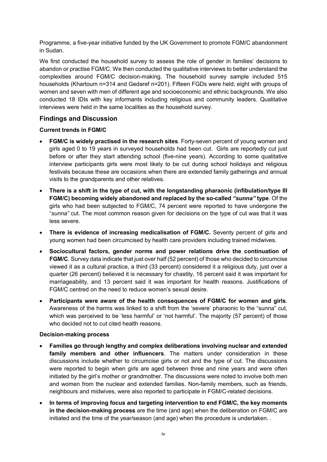Programme, a five-year initiative funded by the UK Government to promote FGM/C abandonment in Sudan.

We first conducted the household survey to assess the role of gender in families' decisions to abandon or practise FGM/C. We then conducted the qualitative interviews to better understand the complexities around FGM/C decision-making. The household survey sample included 515 households (Khartoum n=314 and Gedaref n=201). Fifteen FGDs were held; eight with groups of women and seven with men of different age and socioeconomic and ethnic backgrounds. We also conducted 18 IDIs with key informants including religious and community leaders. Qualitative interviews were held in the same localities as the household survey.

#### **Findings and Discussion**

#### **Current trends in FGM/C**

- **FGM/C is widely practised in the research sites**. Forty-seven percent of young women and girls aged 0 to 19 years in surveyed households had been cut. Girls are reportedly cut just before or after they start attending school (five-nine years). According to some qualitative interview participants girls were most likely to be cut during school holidays and religious festivals because these are occasions when there are extended family gatherings and annual visits to the grandparents and other relatives.
- **There is a shift in the type of cut, with the longstanding pharaonic (infibulation/type III FGM/C) becoming widely abandoned and replaced by the so-called** *"sunna"* **type**. Of the girls who had been subjected to FGM/C, 74 percent were reported to have undergone the "*sunna"* cut. The most common reason given for decisions on the type of cut was that it was less severe.
- **There is evidence of increasing medicalisation of FGM/C.** Seventy percent of girls and young women had been circumcised by health care providers including trained midwives.
- **Sociocultural factors, gender norms and power relations drive the continuation of FGM/C**. Survey data indicate that just over half (52 percent) of those who decided to circumcise viewed it as a cultural practice, a third (33 percent) considered it a religious duty, just over a quarter (26 percent) believed it is necessary for chastity, 16 percent said it was important for marriageability, and 13 percent said it was important for health reasons. Justifications of FGM/C centred on the need to reduce women's sexual desire.
- **Participants were aware of the health consequences of FGM/C for women and girls**. Awareness of the harms was linked to a shift from the 'severe' pharaonic to the "sunna" cut, which was perceived to be 'less harmful' or 'not harmful'. The majority (57 percent) of those who decided not to cut cited health reasons.

#### **Decision-making process**

- **Families go through lengthy and complex deliberations involving nuclear and extended family members and other influencers**. The matters under consideration in these discussions include whether to circumcise girls or not and the type of cut. The discussions were reported to begin when girls are aged between three and nine years and were often initiated by the girl's mother or grandmother. The discussions were noted to involve both men and women from the nuclear and extended families. Non-family members, such as friends, neighbours and midwives, were also reported to participate in FGM/C-related decisions.
- **In terms of improving focus and targeting intervention to end FGM/C, the key moments in the decision-making process** are the time (and age) when the deliberation on FGM/C are initiated and the time of the year/season (and age) when the procedure is undertaken..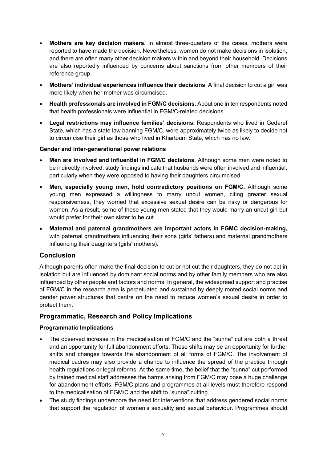- **Mothers are key decision makers.** In almost three-quarters of the cases, mothers were reported to have made the decision. Nevertheless, women do not make decisions in isolation, and there are often many other decision makers within and beyond their household. Decisions are also reportedly influenced by concerns about sanctions from other members of their reference group.
- **Mothers' individual experiences influence their decisions**. A final decision to cut a girl was more likely when her mother was circumcised.
- **Health professionals are involved in FGM/C decisions.** About one in ten respondents noted that health professionals were influential in FGM/C-related decisions.
- **Legal restrictions may influence families' decisions.** Respondents who lived in Gedaref State, which has a state law banning FGM/C, were approximately twice as likely to decide not to circumcise their girl as those who lived in Khartoum State, which has no law.

#### **Gender and inter-generational power relations**

- **Men are involved and influential in FGM/C decisions**. Although some men were noted to be indirectly involved, study findings indicate that husbands were often involved and influential, particularly when they were opposed to having their daughters circumcised.
- **Men, especially young men, hold contradictory positions on FGM/C.** Although some young men expressed a willingness to marry uncut women, citing greater sexual responsiveness, they worried that excessive sexual desire can be risky or dangerous for women. As a result, some of these young men stated that they would marry an uncut girl but would prefer for their own sister to be cut.
- **Maternal and paternal grandmothers are important actors in FGMC decision-making,** with paternal grandmothers influencing their sons (girls' fathers) and maternal grandmothers influencing their daughters (girls' mothers).

#### **Conclusion**

Although parents often make the final decision to cut or not cut their daughters, they do not act in isolation but are influenced by dominant social norms and by other family members who are also influenced by other people and factors and norms. In general, the widespread support and practise of FGM/C in the research area is perpetuated and sustained by deeply rooted social norms and gender power structures that centre on the need to reduce women's sexual desire in order to protect them.

#### **Programmatic, Research and Policy Implications**

#### **Programmatic Implications**

- The observed increase in the medicalisation of FGM/C and the "sunna" cut are both a threat and an opportunity for full abandonment efforts. These shifts may be an opportunity for further shifts and changes towards the abandonment of all forms of FGM/C. The involvement of medical cadres may also provide a chance to influence the spread of the practice through health regulations or legal reforms. At the same time, the belief that the "sunna" cut performed by trained medical staff addresses the harms arising from FGM/C may pose a huge challenge for abandonment efforts. FGM/C plans and programmes at all levels must therefore respond to the medicalisation of FGM/C and the shift to "sunna" cutting.
- The study findings underscore the need for interventions that address gendered social norms that support the regulation of women's sexuality and sexual behaviour. Programmes should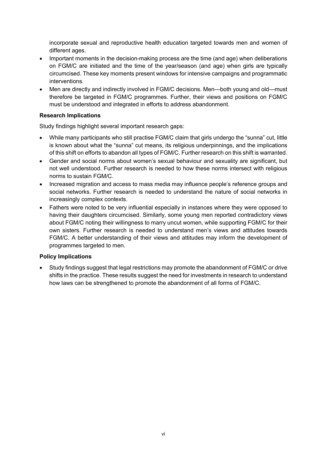incorporate sexual and reproductive health education targeted towards men and women of different ages.

- Important moments in the decision-making process are the time (and age) when deliberations on FGM/C are initiated and the time of the year/season (and age) when girls are typically circumcised. These key moments present windows for intensive campaigns and programmatic interventions.
- Men are directly and indirectly involved in FGM/C decisions. Men—both young and old—must therefore be targeted in FGM/C programmes. Further, their views and positions on FGM/C must be understood and integrated in efforts to address abandonment.

#### **Research Implications**

Study findings highlight several important research gaps:

- While many participants who still practise FGM/C claim that girls undergo the "sunna" cut, little is known about what the "sunna" cut means, its religious underpinnings, and the implications of this shift on efforts to abandon all types of FGM/C. Further research on this shift is warranted.
- Gender and social norms about women's sexual behaviour and sexuality are significant, but not well understood. Further research is needed to how these norms intersect with religious norms to sustain FGM/C.
- Increased migration and access to mass media may influence people's reference groups and social networks. Further research is needed to understand the nature of social networks in increasingly complex contexts.
- Fathers were noted to be very influential especially in instances where they were opposed to having their daughters circumcised. Similarly, some young men reported contradictory views about FGM/C noting their willingness to marry uncut women, while supporting FGM/C for their own sisters. Further research is needed to understand men's views and attitudes towards FGM/C. A better understanding of their views and attitudes may inform the development of programmes targeted to men.

#### **Policy Implications**

• Study findings suggest that legal restrictions may promote the abandonment of FGM/C or drive shifts in the practice. These results suggest the need for investments in research to understand how laws can be strengthened to promote the abandonment of all forms of FGM/C.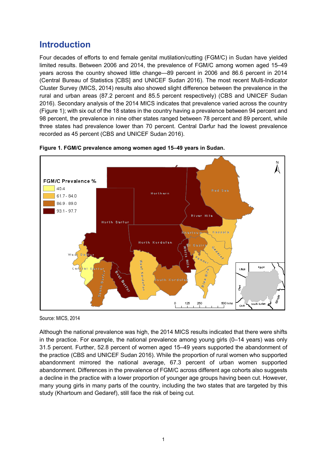# <span id="page-11-0"></span>**Introduction**

Four decades of efforts to end female genital mutilation/cutting (FGM/C) in Sudan have yielded limited results. Between 2006 and 2014, the prevalence of FGM/C among women aged 15–49 years across the country showed little change—89 percent in 2006 and 86.6 percent in 2014 (Central Bureau of Statistics [CBS] and UNICEF Sudan 2016). The most recent Multi-Indicator Cluster Survey (MICS, 2014) results also showed slight difference between the prevalence in the rural and urban areas (87.2 percent and 85.5 percent respectively) (CBS and UNICEF Sudan 2016). Secondary analysis of the 2014 MICS indicates that prevalence varied across the country (Figure 1); with six out of the 18 states in the country having a prevalence between 94 percent and 98 percent, the prevalence in nine other states ranged between 78 percent and 89 percent, while three states had prevalence lower than 70 percent. Central Darfur had the lowest prevalence recorded as 45 percent (CBS and UNICEF Sudan 2016).



**Figure 1. FGM/C prevalence among women aged 15–49 years in Sudan.**

Although the national prevalence was high, the 2014 MICS results indicated that there were shifts in the practice. For example, the national prevalence among young girls (0–14 years) was only 31.5 percent. Further, 52.8 percent of women aged 15–49 years supported the abandonment of the practice (CBS and UNICEF Sudan 2016). While the proportion of rural women who supported abandonment mirrored the national average, 67.3 percent of urban women supported abandonment. Differences in the prevalence of FGM/C across different age cohorts also suggests a decline in the practice with a lower proportion of younger age groups having been cut. However, many young girls in many parts of the country, including the two states that are targeted by this study (Khartoum and Gedaref), still face the risk of being cut.

Source: MICS, 2014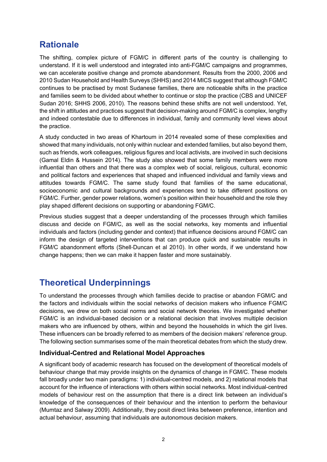# <span id="page-12-0"></span>**Rationale**

The shifting, complex picture of FGM/C in different parts of the country is challenging to understand. If it is well understood and integrated into anti-FGM/C campaigns and programmes, we can accelerate positive change and promote abandonment. Results from the 2000, 2006 and 2010 Sudan Household and Health Surveys (SHHS) and 2014 MICS suggest that although FGM/C continues to be practised by most Sudanese families, there are noticeable shifts in the practice and families seem to be divided about whether to continue or stop the practice (CBS and UNICEF Sudan 2016; SHHS 2006, 2010). The reasons behind these shifts are not well understood. Yet, the shift in attitudes and practices suggest that decision-making around FGM/C is complex, lengthy and indeed contestable due to differences in individual, family and community level views about the practice.

A study conducted in two areas of Khartoum in 2014 revealed some of these complexities and showed that many individuals, not only within nuclear and extended families, but also beyond them, such as friends, work colleagues, religious figures and local activists, are involved in such decisions (Gamal Eldin & Hussein 2014). The study also showed that some family members were more influential than others and that there was a complex web of social, religious, cultural, economic and political factors and experiences that shaped and influenced individual and family views and attitudes towards FGM/C. The same study found that families of the same educational, socioeconomic and cultural backgrounds and experiences tend to take different positions on FGM/C. Further, gender power relations, women's position within their household and the role they play shaped different decisions on supporting or abandoning FGM/C.

Previous studies suggest that a deeper understanding of the processes through which families discuss and decide on FGM/C, as well as the social networks, key moments and influential individuals and factors (including gender and context) that influence decisions around FGM/C can inform the design of targeted interventions that can produce quick and sustainable results in FGM/C abandonment efforts (Shell‐Duncan et al 2010). In other words, if we understand how change happens; then we can make it happen faster and more sustainably.

# <span id="page-12-1"></span>**Theoretical Underpinnings**

To understand the processes through which families decide to practise or abandon FGM/C and the factors and individuals within the social networks of decision makers who influence FGM/C decisions, we drew on both social norms and social network theories. We investigated whether FGM/C is an individual-based decision or a relational decision that involves multiple decision makers who are influenced by others, within and beyond the households in which the girl lives. These influencers can be broadly referred to as members of the decision makers' reference group. The following section summarises some of the main theoretical debates from which the study drew.

#### <span id="page-12-2"></span>**Individual-Centred and Relational Model Approaches**

A significant body of academic research has focused on the development of theoretical models of behaviour change that may provide insights on the dynamics of change in FGM/C. These models fall broadly under two main paradigms: 1) individual-centred models, and 2) relational models that account for the influence of interactions with others within social networks. Most individual-centred models of behaviour rest on the assumption that there is a direct link between an individual's knowledge of the consequences of their behaviour and the intention to perform the behaviour (Mumtaz and Salway 2009). Additionally, they posit direct links between preference, intention and actual behaviour, assuming that individuals are autonomous decision makers.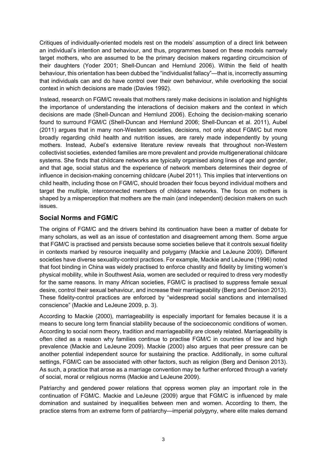Critiques of individually-oriented models rest on the models' assumption of a direct link between an individual's intention and behaviour, and thus, programmes based on these models narrowly target mothers, who are assumed to be the primary decision makers regarding circumcision of their daughters (Yoder 2001; Shell-Duncan and Hernlund 2006). Within the field of health behaviour, this orientation has been dubbed the "individualist fallacy"—that is, incorrectly assuming that individuals can and do have control over their own behaviour, while overlooking the social context in which decisions are made (Davies 1992).

Instead, research on FGM/C reveals that mothers rarely make decisions in isolation and highlights the importance of understanding the interactions of decision makers and the context in which decisions are made (Shell-Duncan and Hernlund 2006). Echoing the decision-making scenario found to surround FGM/C (Shell-Duncan and Hernlund 2006; Shell-Duncan et al. 2011), Aubel (2011) argues that in many non-Western societies, decisions, not only about FGM/C but more broadly regarding child health and nutrition issues, are rarely made independently by young mothers. Instead, Aubel's extensive literature review reveals that throughout non-Western collectivist societies, extended families are more prevalent and provide multigenerational childcare systems. She finds that childcare networks are typically organised along lines of age and gender, and that age, social status and the experience of network members determines their degree of influence in decision-making concerning childcare (Aubel 2011). This implies that interventions on child health, including those on FGM/C, should broaden their focus beyond individual mothers and target the multiple, interconnected members of childcare networks. The focus on mothers is shaped by a misperception that mothers are the main (and independent) decision makers on such issues.

#### <span id="page-13-0"></span>**Social Norms and FGM/C**

The origins of FGM/C and the drivers behind its continuation have been a matter of debate for many scholars, as well as an issue of contestation and disagreement among them. Some argue that FGM/C is practised and persists because some societies believe that it controls sexual fidelity in contexts marked by resource inequality and polygamy (Mackie and LeJeune 2009). Different societies have diverse sexuality-control practices. For example, Mackie and LeJeune (1996) noted that foot binding in China was widely practised to enforce chastity and fidelity by limiting women's physical mobility, while in Southwest Asia, women are secluded or required to dress very modestly for the same reasons. In many African societies, FGM/C is practised to suppress female sexual desire, control their sexual behaviour, and increase their marriageability (Berg and Denison 2013). These fidelity-control practices are enforced by "widespread social sanctions and internalised conscience" (Mackie and LeJeune 2009, p. 3).

According to Mackie (2000), marriageability is especially important for females because it is a means to secure long term financial stability because of the socioeconomic conditions of women. According to social norm theory, tradition and marriageability are closely related. Marriageability is often cited as a reason why families continue to practise FGM/C in countries of low and high prevalence (Mackie and LeJeune 2009). Mackie (2000) also argues that peer pressure can be another potential independent source for sustaining the practice. Additionally, in some cultural settings, FGM/C can be associated with other factors, such as religion (Berg and Denison 2013). As such, a practice that arose as a marriage convention may be further enforced through a variety of social, moral or religious norms (Mackie and LeJeune 2009).

Patriarchy and gendered power relations that oppress women play an important role in the continuation of FGM/C. Mackie and LeJeune (2009) argue that FGM/C is influenced by male domination and sustained by inequalities between men and women. According to them, the practice stems from an extreme form of patriarchy—imperial polygyny, where elite males demand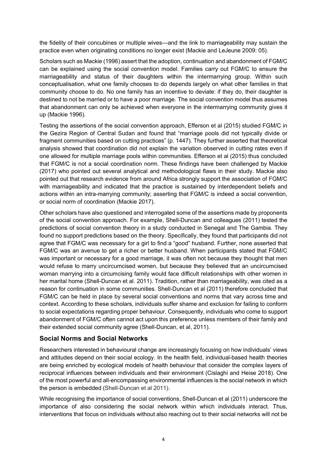the fidelity of their concubines or multiple wives—and the link to marriageability may sustain the practice even when originating conditions no longer exist (Mackie and LeJeune 2009: 05).

Scholars such as Mackie (1996) assert that the adoption, continuation and abandonment of FGM/C can be explained using the social convention model. Families carry out FGM/C to ensure the marriageability and status of their daughters within the intermarrying group. Within such conceptualisation, what one family chooses to do depends largely on what other families in that community choose to do. No one family has an incentive to deviate: if they do, their daughter is destined to not be married or to have a poor marriage. The social convention model thus assumes that abandonment can only be achieved when everyone in the intermarrying community gives it up (Mackie 1996).

Testing the assertions of the social convention approach, Efferson et al (2015) studied FGM/C in the Gezira Region of Central Sudan and found that "marriage pools did not typically divide or fragment communities based on cutting practices" (p. 1447). They further asserted that theoretical analysis showed that coordination did not explain the variation observed in cutting rates even if one allowed for multiple marriage pools within communities. Efferson et al (2015) thus concluded that FGM/C is not a social coordination norm. These findings have been challenged by Mackie (2017) who pointed out several analytical and methodological flaws in their study. Mackie also pointed out that research evidence from around Africa strongly support the association of FGM/C with marriageability and indicated that the practice is sustained by interdependent beliefs and actions within an intra-marrying community; asserting that FGM/C is indeed a social convention, or social norm of coordination (Mackie 2017).

Other scholars have also questioned and interrogated some of the assertions made by proponents of the social convention approach. For example, Shell-Duncan and colleagues (2011) tested the predictions of social convention theory in a study conducted in Senegal and The Gambia. They found no support predictions based on the theory. Specifically, they found that participants did not agree that FGM/C was necessary for a girl to find a "good" husband. Further, none asserted that FGM/C was an avenue to get a richer or better husband. When participants stated that FGM/C was important or necessary for a good marriage, it was often not because they thought that men would refuse to marry uncircumcised women, but because they believed that an uncircumcised woman marrying into a circumcising family would face difficult relationships with other women in her marital home (Shell-Duncan et al. 2011). Tradition, rather than marriageability, was cited as a reason for continuation in some communities. Shell-Duncan et al (2011) therefore concluded that FGM/C can be held in place by several social conventions and norms that vary across time and context. According to these scholars, individuals suffer shame and exclusion for failing to conform to social expectations regarding proper behaviour. Consequently, individuals who come to support abandonment of FGM/C often cannot act upon this preference unless members of their family and their extended social community agree (Shell-Duncan, et al, 2011).

#### <span id="page-14-0"></span>**Social Norms and Social Networks**

Researchers interested in behavioural change are increasingly focusing on how individuals' views and attitudes depend on their social ecology. In the health field, individual-based health theories are being enriched by ecological models of health behaviour that consider the complex layers of reciprocal influences between individuals and their environment (Cislaghi and Heise 2018). One of the most powerful and all-encompassing environmental influences is the social network in which the person is embedded (Shell-Duncan et al 2011).

While recognising the importance of social conventions, Shell-Duncan et al (2011) underscore the importance of also considering the social network within which individuals interact. Thus, interventions that focus on individuals without also reaching out to their social networks will not be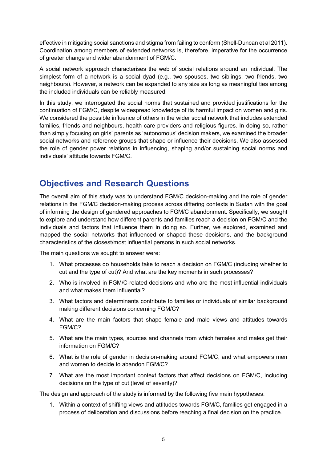effective in mitigating social sanctions and stigma from failing to conform (Shell-Duncan et al 2011). Coordination among members of extended networks is, therefore, imperative for the occurrence of greater change and wider abandonment of FGM/C.

A social network approach characterises the web of social relations around an individual. The simplest form of a network is a social dyad (e.g., two spouses, two siblings, two friends, two neighbours). However, a network can be expanded to any size as long as meaningful ties among the included individuals can be reliably measured.

In this study, we interrogated the social norms that sustained and provided justifications for the continuation of FGM/C, despite widespread knowledge of its harmful impact on women and girls. We considered the possible influence of others in the wider social network that includes extended families, friends and neighbours, health care providers and religious figures. In doing so, rather than simply focusing on girls' parents as 'autonomous' decision makers, we examined the broader social networks and reference groups that shape or influence their decisions. We also assessed the role of gender power relations in influencing, shaping and/or sustaining social norms and individuals' attitude towards FGM/C.

# <span id="page-15-0"></span>**Objectives and Research Questions**

The overall aim of this study was to understand FGM/C decision-making and the role of gender relations in the FGM/C decision-making process across differing contexts in Sudan with the goal of informing the design of gendered approaches to FGM/C abandonment. Specifically, we sought to explore and understand how different parents and families reach a decision on FGM/C and the individuals and factors that influence them in doing so. Further, we explored, examined and mapped the social networks that influenced or shaped these decisions, and the background characteristics of the closest/most influential persons in such social networks.

The main questions we sought to answer were:

- 1. What processes do households take to reach a decision on FGM/C (including whether to cut and the type of cut)? And what are the key moments in such processes?
- 2. Who is involved in FGM/C-related decisions and who are the most influential individuals and what makes them influential?
- 3. What factors and determinants contribute to families or individuals of similar background making different decisions concerning FGM/C?
- 4. What are the main factors that shape female and male views and attitudes towards FGM/C?
- 5. What are the main types, sources and channels from which females and males get their information on FGM/C?
- 6. What is the role of gender in decision-making around FGM/C, and what empowers men and women to decide to abandon FGM/C?
- 7. What are the most important context factors that affect decisions on FGM/C, including decisions on the type of cut (level of severity)?

The design and approach of the study is informed by the following five main hypotheses:

1. Within a context of shifting views and attitudes towards FGM/C, families get engaged in a process of deliberation and discussions before reaching a final decision on the practice.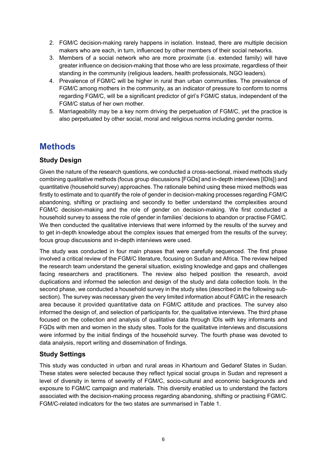- 2. FGM/C decision-making rarely happens in isolation. Instead, there are multiple decision makers who are each, in turn, influenced by other members of their social networks.
- 3. Members of a social network who are more proximate (i.e. extended family) will have greater influence on decision-making that those who are less proximate, regardless of their standing in the community (religious leaders, health professionals, NGO leaders).
- 4. Prevalence of FGM/C will be higher in rural than urban communities. The prevalence of FGM/C among mothers in the community, as an indicator of pressure to conform to norms regarding FGM/C, will be a significant predictor of girl's FGM/C status, independent of the FGM/C status of her own mother.
- 5. Marriageability may be a key norm driving the perpetuation of FGM/C, yet the practice is also perpetuated by other social, moral and religious norms including gender norms.

# <span id="page-16-0"></span>**Methods**

#### <span id="page-16-1"></span>**Study Design**

Given the nature of the research questions, we conducted a cross-sectional, mixed methods study combining qualitative methods (focus group discussions [FGDs] and in-depth interviews [IDIs]) and quantitative (household survey) approaches. The rationale behind using these mixed methods was firstly to estimate and to quantify the role of gender in decision-making processes regarding FGM/C abandoning, shifting or practising and secondly to better understand the complexities around FGM/C decision-making and the role of gender on decision-making. We first conducted a household survey to assess the role of gender in families' decisions to abandon or practise FGM/C. We then conducted the qualitative interviews that were informed by the results of the survey and to get in-depth knowledge about the complex issues that emerged from the results of the survey; focus group discussions and in-depth interviews were used.

The study was conducted in four main phases that were carefully sequenced. The first phase involved a critical review of the FGM/C literature, focusing on Sudan and Africa. The review helped the research team understand the general situation, existing knowledge and gaps and challenges facing researchers and practitioners. The review also helped position the research, avoid duplications and informed the selection and design of the study and data collection tools. In the second phase, we conducted a household survey in the study sites (described in the following subsection). The survey was necessary given the very limited information about FGM/C in the research area because it provided quantitative data on FGM/C attitude and practices. The survey also informed the design of, and selection of participants for, the qualitative interviews. The third phase focused on the collection and analysis of qualitative data through IDIs with key informants and FGDs with men and women in the study sites. Tools for the qualitative interviews and discussions were informed by the initial findings of the household survey. The fourth phase was devoted to data analysis, report writing and dissemination of findings.

#### <span id="page-16-2"></span>**Study Settings**

This study was conducted in urban and rural areas in Khartoum and Gedaref States in Sudan. These states were selected because they reflect typical social groups in Sudan and represent a level of diversity in terms of severity of FGM/C, socio-cultural and economic backgrounds and exposure to FGM/C campaign and materials. This diversity enabled us to understand the factors associated with the decision-making process regarding abandoning, shifting or practising FGM/C. FGM/C-related indicators for the two states are summarised in Table 1.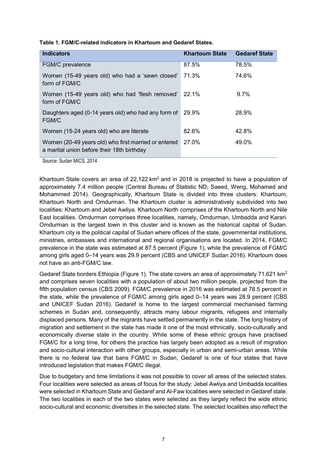|  | Table 1. FGM/C-related indicators in Khartoum and Gedaref States. |
|--|-------------------------------------------------------------------|
|--|-------------------------------------------------------------------|

| <b>Indicators</b>                                                                                  | <b>Khartoum State</b> | <b>Gedaref State</b> |
|----------------------------------------------------------------------------------------------------|-----------------------|----------------------|
| FGM/C prevalence                                                                                   | 87.5%                 | 78.5%                |
| Women (15-49 years old) who had a 'sewn closed'<br>form of FGM/C                                   | 71.3%                 | 74.6%                |
| Women (15-49 years old) who had 'flesh removed'<br>form of FGM/C                                   | 22.1%                 | 9.7%                 |
| Daughters aged (0-14 years old) who had any form of<br>FGM/C                                       | 29.9%                 | 28.9%                |
| Women (15-24 years old) who are literate                                                           | 82.6%                 | 42.8%                |
| Women (20-49 years old) who first married or entered<br>a marital union before their 18th birthday | 27.0%                 | 49.0%                |

Source: Sudan MICS, 2014

Khartoum State covers an area of  $22.122 \text{ km}^2$  and in 2018 is projected to have a population of approximately 7.4 million people (Central Bureau of Statistic ND; Saeed, Weng, Mohamed and Mohammed 2014). Geographically, Khartoum State is divided into three clusters: Khartoum, Khartoum North and Omdurman. The Khartoum cluster is administratively subdivided into two localities: Khartoum and Jebel Awliya. Khartoum North comprises of the Khartoum North and Nile East localities. Omdurman comprises three localities, namely, Omdurman, Umbadda and Karari. Omdurman is the largest town in this cluster and is known as the historical capital of Sudan. Khartoum city is the political capital of Sudan where offices of the state, governmental institutions, ministries, embassies and international and regional organisations are located. In 2014, FGM/C prevalence in the state was estimated at 87.5 percent (Figure 1), while the prevalence of FGM/C among girls aged 0–14 years was 29.9 percent (CBS and UNICEF Sudan 2016). Khartoum does not have an anti-FGM/C law.

Gedaref State borders Ethiopia (Figure 1). The state covers an area of approximately 71,621 km<sup>2</sup> and comprises seven localities with a population of about two million people, projected from the fifth population census (CBS 2009). FGM/C prevalence in 2016 was estimated at 78.5 percent in the state, while the prevalence of FGM/C among girls aged 0–14 years was 28.9 percent (CBS and UNICEF Sudan 2016). Gedaref is home to the largest commercial mechanised farming schemes in Sudan and, consequently, attracts many labour migrants, refugees and internally displaced persons. Many of the migrants have settled permanently in the state. The long history of migration and settlement in the state has made it one of the most ethnically, socio-culturally and economically diverse state in the country. While some of these ethnic groups have practised FGM/C for a long time, for others the practice has largely been adopted as a result of migration and socio-cultural interaction with other groups, especially in urban and semi-urban areas. While there is no federal law that bans FGM/C in Sudan, Gedaref is one of four states that have introduced legislation that makes FGM/C illegal.

Due to budgetary and time limitations it was not possible to cover all areas of the selected states. Four localities were selected as areas of focus for the study: Jebel Awliya and Umbadda localities were selected in Khartoum State and Gedaref and Al-Faw localities were selected in Gedaref state. The two localities in each of the two states were selected as they largely reflect the wide ethnic socio-cultural and economic diversities in the selected state. The selected localities also reflect the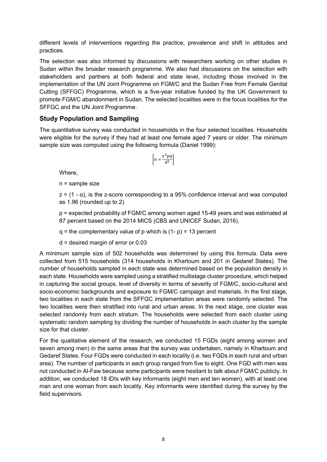different levels of interventions regarding the practice, prevalence and shift in attitudes and practices.

The selection was also informed by discussions with researchers working on other studies in Sudan within the broader research programme. We also had discussions on the selection with stakeholders and partners at both federal and state level, including those involved in the implementation of the UN Joint Programme on FGM/C and the Sudan Free from Female Genital Cutting (SFFGC) Programme, which is a five-year initiative funded by the UK Government to promote FGM/C abandonment in Sudan. The selected localities were in the focus localities for the SFFGC and the UN Joint Programme.

#### <span id="page-18-0"></span>**Study Population and Sampling**

The quantitative survey was conducted in households in the four selected localities. Households were eligible for the survey if they had at least one female aged 7 years or older. The minimum sample size was computed using the following formula (Daniel 1999):

$$
\left[n = \frac{z^2 pq}{d^2}\right]
$$

Where,

n = sample size

 $z = (1 - \alpha)$ , is the z-score corresponding to a 95% confidence interval and was computed as 1.96 (rounded up to 2)

p = expected probability of FGM/C among women aged 15-49 years and was estimated at 87 percent based on the 2014 MICS (CBS and UNICEF Sudan, 2016).

 $q =$  the complementary value of p which is  $(1-p) = 13$  percent

d = desired margin of error or 0.03

A minimum sample size of 502 households was determined by using this formula. Data were collected from 515 households (314 households in Khartoum and 201 in Gedaref States). The number of households sampled in each state was determined based on the population density in each state. Households were sampled using a stratified multistage cluster procedure, which helped in capturing the social groups, level of diversity in terms of severity of FGM/C, socio-cultural and socio-economic backgrounds and exposure to FGM/C campaign and materials. In the first stage, two localities in each state from the SFFGC implementation areas were randomly selected. The two localities were then stratified into rural and urban areas. In the next stage, one cluster was selected randomly from each stratum. The households were selected from each cluster using systematic random sampling by dividing the number of households in each cluster by the sample size for that cluster.

For the qualitative element of the research, we conducted 15 FGDs (eight among women and seven among men) in the same areas that the survey was undertaken, namely in Khartoum and Gedaref States. Four FGDs were conducted in each locality (i.e. two FGDs in each rural and urban area). The number of participants in each group ranged from five to eight. One FGD with men was not conducted in Al-Faw because some participants were hesitant to talk about FGM/C publicly. In addition, we conducted 18 IDIs with key informants (eight men and ten women), with at least one man and one woman from each locality. Key informants were identified during the survey by the field supervisors.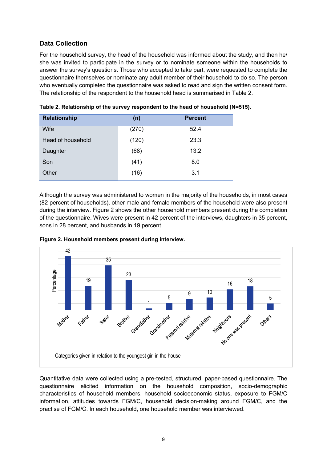#### <span id="page-19-0"></span>**Data Collection**

For the household survey, the head of the household was informed about the study, and then he/ she was invited to participate in the survey or to nominate someone within the households to answer the survey's questions. Those who accepted to take part, were requested to complete the questionnaire themselves or nominate any adult member of their household to do so. The person who eventually completed the questionnaire was asked to read and sign the written consent form. The relationship of the respondent to the household head is summarised in Table 2.

| <b>Relationship</b> | (n)   | <b>Percent</b> |
|---------------------|-------|----------------|
| Wife                | (270) | 52.4           |
| Head of household   | (120) | 23.3           |
| Daughter            | (68)  | 13.2           |
| Son                 | (41)  | 8.0            |
| Other               | (16)  | 3.1            |

| Table 2. Relationship of the survey respondent to the head of household (N=515). |  |  |  |
|----------------------------------------------------------------------------------|--|--|--|
|----------------------------------------------------------------------------------|--|--|--|

Although the survey was administered to women in the majority of the households, in most cases (82 percent of households), other male and female members of the household were also present during the interview. Figure 2 shows the other household members present during the completion of the questionnaire. Wives were present in 42 percent of the interviews, daughters in 35 percent, sons in 28 percent, and husbands in 19 percent.



**Figure 2. Household members present during interview.**

Quantitative data were collected using a pre-tested, structured, paper-based questionnaire. The questionnaire elicited information on the household composition, socio-demographic characteristics of household members, household socioeconomic status, exposure to FGM/C information, attitudes towards FGM/C, household decision-making around FGM/C, and the practise of FGM/C. In each household, one household member was interviewed.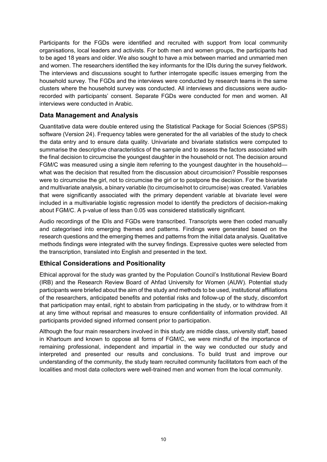Participants for the FGDs were identified and recruited with support from local community organisations, local leaders and activists. For both men and women groups, the participants had to be aged 18 years and older. We also sought to have a mix between married and unmarried men and women. The researchers identified the key informants for the IDIs during the survey fieldwork. The interviews and discussions sought to further interrogate specific issues emerging from the household survey. The FGDs and the interviews were conducted by research teams in the same clusters where the household survey was conducted. All interviews and discussions were audiorecorded with participants' consent. Separate FGDs were conducted for men and women. All interviews were conducted in Arabic.

#### <span id="page-20-0"></span>**Data Management and Analysis**

Quantitative data were double entered using the Statistical Package for Social Sciences (SPSS) software (Version 24). Frequency tables were generated for the all variables of the study to check the data entry and to ensure data quality. Univariate and bivariate statistics were computed to summarise the descriptive characteristics of the sample and to assess the factors associated with the final decision to circumcise the youngest daughter in the household or not. The decision around FGM/C was measured using a single item referring to the youngest daughter in the household what was the decision that resulted from the discussion about circumcision? Possible responses were to circumcise the girl, not to circumcise the girl or to postpone the decision. For the bivariate and multivariate analysis, a binary variable (to circumcise/not to circumcise) was created. Variables that were significantly associated with the primary dependent variable at bivariate level were included in a multivariable logistic regression model to identify the predictors of decision-making about FGM/C. A p-value of less than 0.05 was considered statistically significant.

Audio recordings of the IDIs and FGDs were transcribed. Transcripts were then coded manually and categorised into emerging themes and patterns. Findings were generated based on the research questions and the emerging themes and patterns from the initial data analysis. Qualitative methods findings were integrated with the survey findings. Expressive quotes were selected from the transcription, translated into English and presented in the text.

#### <span id="page-20-1"></span>**Ethical Considerations and Positionality**

Ethical approval for the study was granted by the Population Council's Institutional Review Board (IRB) and the Research Review Board of Ahfad University for Women (AUW). Potential study participants were briefed about the aim of the study and methods to be used, institutional affiliations of the researchers, anticipated benefits and potential risks and follow-up of the study, discomfort that participation may entail, right to abstain from participating in the study, or to withdraw from it at any time without reprisal and measures to ensure confidentiality of information provided. All participants provided signed informed consent prior to participation.

Although the four main researchers involved in this study are middle class, university staff, based in Khartoum and known to oppose all forms of FGM/C, we were mindful of the importance of remaining professional, independent and impartial in the way we conducted our study and interpreted and presented our results and conclusions. To build trust and improve our understanding of the community, the study team recruited community facilitators from each of the localities and most data collectors were well-trained men and women from the local community.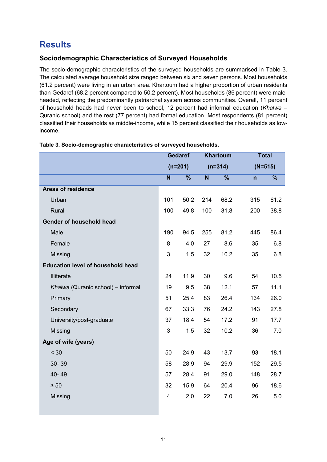# <span id="page-21-0"></span>**Results**

#### <span id="page-21-1"></span>**Sociodemographic Characteristics of Surveyed Households**

The socio-demographic characteristics of the surveyed households are summarised in Table 3. The calculated average household size ranged between six and seven persons. Most households (61.2 percent) were living in an urban area. Khartoum had a higher proportion of urban residents than Gedaref (68.2 percent compared to 50.2 percent). Most households (86 percent) were maleheaded, reflecting the predominantly patriarchal system across communities. Overall, 11 percent of household heads had never been to school, 12 percent had informal education (*Khalwa* – Quranic school) and the rest (77 percent) had formal education. Most respondents (81 percent) classified their households as middle-income, while 15 percent classified their households as lowincome.

|                                          | <b>Gedaref</b> |               | <b>Khartoum</b> |                          | <b>Total</b> |                          |
|------------------------------------------|----------------|---------------|-----------------|--------------------------|--------------|--------------------------|
|                                          | $(n=201)$      |               | $(n=314)$       |                          | $(N=515)$    |                          |
|                                          | N              | $\frac{9}{6}$ | N               | $\overline{\frac{9}{6}}$ | n            | $\overline{\frac{9}{6}}$ |
| <b>Areas of residence</b>                |                |               |                 |                          |              |                          |
| Urban                                    | 101            | 50.2          | 214             | 68.2                     | 315          | 61.2                     |
| Rural                                    | 100            | 49.8          | 100             | 31.8                     | 200          | 38.8                     |
| Gender of household head                 |                |               |                 |                          |              |                          |
| Male                                     | 190            | 94.5          | 255             | 81.2                     | 445          | 86.4                     |
| Female                                   | 8              | 4.0           | 27              | 8.6                      | 35           | 6.8                      |
| Missing                                  | 3              | 1.5           | 32              | 10.2                     | 35           | 6.8                      |
| <b>Education level of household head</b> |                |               |                 |                          |              |                          |
| Illiterate                               | 24             | 11.9          | 30              | 9.6                      | 54           | 10.5                     |
| Khalwa (Quranic school) - informal       | 19             | 9.5           | 38              | 12.1                     | 57           | 11.1                     |
| Primary                                  | 51             | 25.4          | 83              | 26.4                     | 134          | 26.0                     |
| Secondary                                | 67             | 33.3          | 76              | 24.2                     | 143          | 27.8                     |
| University/post-graduate                 | 37             | 18.4          | 54              | 17.2                     | 91           | 17.7                     |
| Missing                                  | 3              | 1.5           | 32              | 10.2                     | 36           | 7.0                      |
| Age of wife (years)                      |                |               |                 |                          |              |                          |
| < 30                                     | 50             | 24.9          | 43              | 13.7                     | 93           | 18.1                     |
| 30-39                                    | 58             | 28.9          | 94              | 29.9                     | 152          | 29.5                     |
| 40-49                                    | 57             | 28.4          | 91              | 29.0                     | 148          | 28.7                     |
| $\geq 50$                                | 32             | 15.9          | 64              | 20.4                     | 96           | 18.6                     |
| Missing                                  | $\overline{4}$ | 2.0           | 22              | 7.0                      | 26           | 5.0                      |
|                                          |                |               |                 |                          |              |                          |

#### **Table 3. Socio-demographic characteristics of surveyed households.**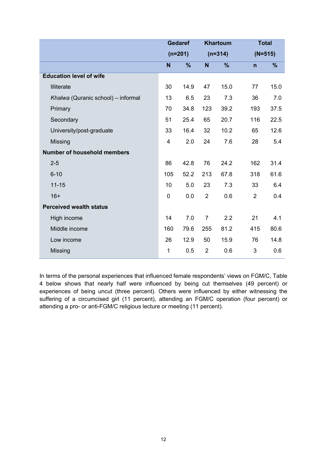|                                    | <b>Gedaref</b> |               | <b>Khartoum</b> |      |                | <b>Total</b> |
|------------------------------------|----------------|---------------|-----------------|------|----------------|--------------|
|                                    | $(n=201)$      |               | $(n=314)$       |      |                | $(N=515)$    |
|                                    | N              | $\frac{9}{6}$ | N.              | $\%$ | $\mathsf{n}$   | %            |
| <b>Education level of wife</b>     |                |               |                 |      |                |              |
| Illiterate                         | 30             | 14.9          | 47              | 15.0 | 77             | 15.0         |
| Khalwa (Quranic school) - informal | 13             | 6.5           | 23              | 7.3  | 36             | 7.0          |
| Primary                            | 70             | 34.8          | 123             | 39.2 | 193            | 37.5         |
| Secondary                          | 51             | 25.4          | 65              | 20.7 | 116            | 22.5         |
| University/post-graduate           | 33             | 16.4          | 32              | 10.2 | 65             | 12.6         |
| Missing                            | $\overline{4}$ | 2.0           | 24              | 7.6  | 28             | 5.4          |
| <b>Number of household members</b> |                |               |                 |      |                |              |
| $2 - 5$                            | 86             | 42.8          | 76              | 24.2 | 162            | 31.4         |
| $6 - 10$                           | 105            | 52.2          | 213             | 67.8 | 318            | 61.6         |
| $11 - 15$                          | 10             | 5.0           | 23              | 7.3  | 33             | 6.4          |
| $16+$                              | $\mathbf 0$    | 0.0           | $\overline{2}$  | 0.6  | $\overline{2}$ | 0.4          |
| <b>Perceived wealth status</b>     |                |               |                 |      |                |              |
| High income                        | 14             | 7.0           | $\overline{7}$  | 2.2  | 21             | 4.1          |
| Middle income                      | 160            | 79.6          | 255             | 81.2 | 415            | 80.6         |
| Low income                         | 26             | 12.9          | 50              | 15.9 | 76             | 14.8         |
| Missing                            | 1              | 0.5           | $\overline{2}$  | 0.6  | 3              | 0.6          |

In terms of the personal experiences that influenced female respondents' views on FGM/C, Table 4 below shows that nearly half were influenced by being cut themselves (49 percent) or experiences of being uncut (three percent). Others were influenced by either witnessing the suffering of a circumcised girl (11 percent), attending an FGM/C operation (four percent) or attending a pro- or anti-FGM/C religious lecture or meeting (11 percent).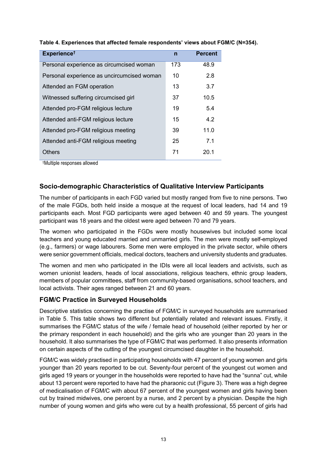| Experience <sup>t</sup>                    | $\mathsf{n}$ | <b>Percent</b> |
|--------------------------------------------|--------------|----------------|
| Personal experience as circumcised woman   | 173          | 48.9           |
| Personal experience as uncircumcised woman | 10           | 2.8            |
| Attended an FGM operation                  | 13           | 3.7            |
| Witnessed suffering circumcised girl       | 37           | 10.5           |
| Attended pro-FGM religious lecture         | 19           | 5.4            |
| Attended anti-FGM religious lecture        | 15           | 4.2            |
| Attended pro-FGM religious meeting         | 39           | 11.0           |
| Attended anti-FGM religious meeting        | 25           | 7.1            |
| <b>Others</b>                              | 71           | 20.1           |

#### **Table 4. Experiences that affected female respondents' views about FGM/C (N=354).**

†Multiple responses allowed

#### <span id="page-23-0"></span>**Socio-demographic Characteristics of Qualitative Interview Participants**

The number of participants in each FGD varied but mostly ranged from five to nine persons. Two of the male FGDs, both held inside a mosque at the request of local leaders, had 14 and 19 participants each. Most FGD participants were aged between 40 and 59 years. The youngest participant was 18 years and the oldest were aged between 70 and 79 years.

The women who participated in the FGDs were mostly housewives but included some local teachers and young educated married and unmarried girls. The men were mostly self-employed (e.g., farmers) or wage labourers. Some men were employed in the private sector, while others were senior government officials, medical doctors, teachers and university students and graduates.

The women and men who participated in the IDIs were all local leaders and activists, such as women unionist leaders, heads of local associations, religious teachers, ethnic group leaders, members of popular committees, staff from community-based organisations, school teachers, and local activists. Their ages ranged between 21 and 60 years.

#### <span id="page-23-1"></span>**FGM/C Practice in Surveyed Households**

Descriptive statistics concerning the practise of FGM/C in surveyed households are summarised in Table 5. This table shows two different but potentially related and relevant issues. Firstly, it summarises the FGM/C status of the wife / female head of household (either reported by her or the primary respondent in each household) and the girls who are younger than 20 years in the household. It also summarises the type of FGM/C that was performed. It also presents information on certain aspects of the cutting of the youngest circumcised daughter in the household.

FGM/C was widely practised in participating households with 47 percent of young women and girls younger than 20 years reported to be cut. Seventy-four percent of the youngest cut women and girls aged 19 years or younger in the households were reported to have had the "sunna" cut, while about 13 percent were reported to have had the pharaonic cut (Figure 3). There was a high degree of medicalisation of FGM/C with about 67 percent of the youngest women and girls having been cut by trained midwives, one percent by a nurse, and 2 percent by a physician. Despite the high number of young women and girls who were cut by a health professional, 55 percent of girls had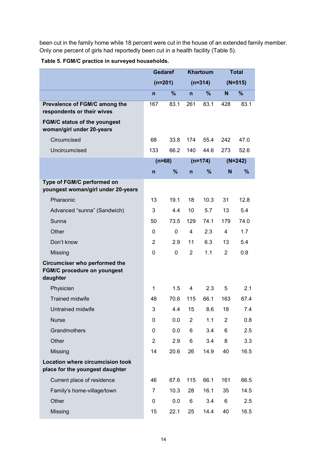been cut in the family home while 18 percent were cut in the house of an extended family member. Only one percent of girls had reportedly been cut in a health facility (Table 5).

| Table 5. FGM/C practice in surveyed households. |  |
|-------------------------------------------------|--|
|-------------------------------------------------|--|

|                                                                                        | <b>Gedaref</b> |          | <b>Khartoum</b> |           |                | <b>Total</b>  |
|----------------------------------------------------------------------------------------|----------------|----------|-----------------|-----------|----------------|---------------|
|                                                                                        | $(n=201)$      |          | $(n=314)$       |           |                | $(N=515)$     |
|                                                                                        | $\overline{n}$ | $\%$     | $\mathsf{n}$    | %         | N              | $\frac{9}{6}$ |
| Prevalence of FGM/C among the<br>respondents or their wives                            | 167            | 83.1     | 261             | 83.1      | 428            | 83.1          |
| <b>FGM/C status of the youngest</b><br>woman/girl under 20-years                       |                |          |                 |           |                |               |
| Circumcised                                                                            | 68             | 33.8     | 174             | 55.4      | 242            | 47.0          |
| Uncircumcised                                                                          | 133            | 66.2     | 140             | 44.6      | 273            | 52.6          |
|                                                                                        |                | $(n=68)$ |                 | $(n=174)$ |                | $(N=242)$     |
|                                                                                        | n              | %        | n               | %         | N              | %             |
| Type of FGM/C performed on<br>youngest woman/girl under 20-years                       |                |          |                 |           |                |               |
| Pharaonic                                                                              | 13             | 19.1     | 18              | 10.3      | 31             | 12.8          |
| Advanced "sunna" (Sandwich)                                                            | 3              | 4.4      | 10              | 5.7       | 13             | 5.4           |
| Sunna                                                                                  | 50             | 73.5     | 129             | 74.1      | 179            | 74.0          |
| Other                                                                                  | $\Omega$       | 0        | $\overline{4}$  | 2.3       | $\overline{4}$ | 1.7           |
| Don't know                                                                             | $\overline{2}$ | 2.9      | 11              | 6.3       | 13             | 5.4           |
| Missing                                                                                | $\mathbf{0}$   | 0        | $\overline{2}$  | 1.1       | $\overline{2}$ | 0.8           |
| <b>Circumciser who performed the</b><br><b>FGM/C procedure on youngest</b><br>daughter |                |          |                 |           |                |               |
| Physician                                                                              | 1              | 1.5      | 4               | 2.3       | 5              | 2.1           |
| <b>Trained midwife</b>                                                                 | 48             | 70.6     | 115             | 66.1      | 163            | 67.4          |
| Untrained midwife                                                                      | 3              | 4.4      | 15              | 8.6       | 18             | 7.4           |
| <b>Nurse</b>                                                                           | 0              | 0.0      | $\overline{2}$  | 1.1       | 2              | 0.8           |
| Grandmothers                                                                           | 0              | 0.0      | 6               | 3.4       | 6              | 2.5           |
| Other                                                                                  | $\overline{2}$ | 2.9      | 6               | 3.4       | 8              | 3.3           |
| Missing                                                                                | 14             | 20.6     | 26              | 14.9      | 40             | 16.5          |
| <b>Location where circumcision took</b><br>place for the youngest daughter             |                |          |                 |           |                |               |
| Current place of residence                                                             | 46             | 67.6     | 115             | 66.1      | 161            | 66.5          |
| Family's home-village/town                                                             | 7              | 10.3     | 28              | 16.1      | 35             | 14.5          |
| Other                                                                                  | 0              | 0.0      | 6               | 3.4       | 6              | 2.5           |
| Missing                                                                                | 15             | 22.1     | 25              | 14.4      | 40             | 16.5          |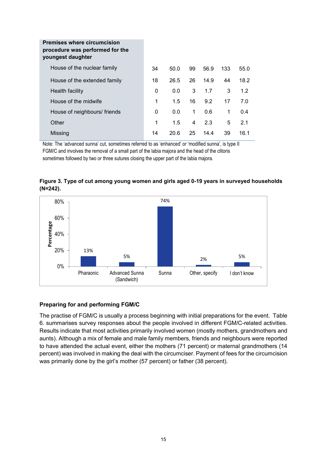| <b>Premises where circumcision</b><br>procedure was performed for the<br>youngest daughter |    |      |             |      |     |      |
|--------------------------------------------------------------------------------------------|----|------|-------------|------|-----|------|
| House of the nuclear family                                                                | 34 | 50.0 | 99          | 56.9 | 133 | 55.0 |
| House of the extended family                                                               | 18 | 26.5 | 26          | 14.9 | 44  | 18.2 |
| Health facility                                                                            | 0  | 0.0  | 3           | 1.7  | 3   | 1.2  |
| House of the midwife                                                                       | 1  | 1.5  | 16          | 9.2  | 17  | 7.0  |
| House of neighbours/ friends                                                               | 0  | 0.0  | $\mathbf 1$ | 0.6  | 1   | 0.4  |
| Other                                                                                      | 1  | 1.5  | 4           | 2.3  | 5   | 2.1  |
| Missing                                                                                    | 14 | 20.6 | 25          | 14.4 | 39  | 16.1 |

Note: The 'advanced sunna' cut, sometimes referred to as 'enhanced' or 'modified sunna', is type II FGM/C and involves the removal of a small part of the labia majora and the head of the clitoris sometimes followed by two or three sutures closing the upper part of the labia majora.



**Figure 3. Type of cut among young women and girls aged 0-19 years in surveyed households (N=242).**

#### <span id="page-25-0"></span>**Preparing for and performing FGM/C**

The practise of FGM/C is usually a process beginning with initial preparations for the event. Table 6. summarises survey responses about the people involved in different FGM/C-related activities. Results indicate that most activities primarily involved women (mostly mothers, grandmothers and aunts). Although a mix of female and male family members, friends and neighbours were reported to have attended the actual event, either the mothers (71 percent) or maternal grandmothers (14 percent) was involved in making the deal with the circumciser. Payment of fees for the circumcision was primarily done by the girl's mother (57 percent) or father (38 percent).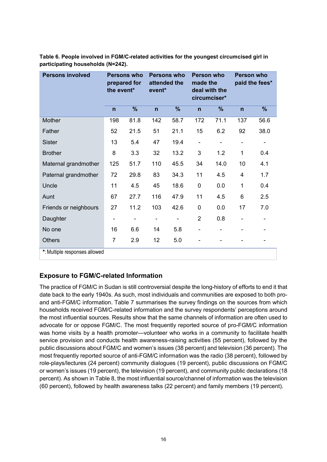| <b>Persons involved</b>       | <b>Persons who</b><br>prepared for<br>the event* |      | Persons who<br>attended the<br>event* |      | <b>Person who</b><br>made the<br>deal with the<br>circumciser* |      | <b>Person who</b> | paid the fees* |
|-------------------------------|--------------------------------------------------|------|---------------------------------------|------|----------------------------------------------------------------|------|-------------------|----------------|
|                               | $\mathsf{n}$                                     | %    | n                                     | %    | $\mathsf{n}$                                                   | %    | $\mathsf{n}$      | $\%$           |
| <b>Mother</b>                 | 198                                              | 81.8 | 142                                   | 58.7 | 172                                                            | 71.1 | 137               | 56.6           |
| Father                        | 52                                               | 21.5 | 51                                    | 21.1 | 15                                                             | 6.2  | 92                | 38.0           |
| <b>Sister</b>                 | 13                                               | 5.4  | 47                                    | 19.4 | -                                                              |      |                   |                |
| <b>Brother</b>                | 8                                                | 3.3  | 32                                    | 13.2 | 3                                                              | 1.2  | $\mathbf 1$       | 0.4            |
| Maternal grandmother          | 125                                              | 51.7 | 110                                   | 45.5 | 34                                                             | 14.0 | 10                | 4.1            |
| Paternal grandmother          | 72                                               | 29.8 | 83                                    | 34.3 | 11                                                             | 4.5  | 4                 | 1.7            |
| Uncle                         | 11                                               | 4.5  | 45                                    | 18.6 | $\mathbf 0$                                                    | 0.0  | 1                 | 0.4            |
| Aunt                          | 67                                               | 27.7 | 116                                   | 47.9 | 11                                                             | 4.5  | 6                 | 2.5            |
| Friends or neighbours         | 27                                               | 11.2 | 103                                   | 42.6 | $\mathbf 0$                                                    | 0.0  | 17                | 7.0            |
| Daughter                      |                                                  |      |                                       |      | $\overline{2}$                                                 | 0.8  |                   |                |
| No one                        | 16                                               | 6.6  | 14                                    | 5.8  | -                                                              |      |                   |                |
| <b>Others</b>                 | $\overline{7}$                                   | 2.9  | 12                                    | 5.0  |                                                                |      |                   |                |
| *: Multiple responses allowed |                                                  |      |                                       |      |                                                                |      |                   |                |

**Table 6. People involved in FGM/C-related activities for the youngest circumcised girl in participating households (N=242).**

#### <span id="page-26-0"></span>**Exposure to FGM/C-related Information**

The practice of FGM/C in Sudan is still controversial despite the long-history of efforts to end it that date back to the early 1940s. As such, most individuals and communities are exposed to both proand anti-FGM/C information. Table 7 summarises the survey findings on the sources from which households received FGM/C-related information and the survey respondents' perceptions around the most influential sources. Results show that the same channels of information are often used to advocate for or oppose FGM/C. The most frequently reported source of pro-FGM/C information was home visits by a health promoter—volunteer who works in a community to facilitate health service provision and conducts health awareness-raising activities (55 percent), followed by the public discussions about FGM/C and women's issues (38 percent) and television (36 percent). The most frequently reported source of anti-FGM/C information was the radio (38 percent), followed by role-plays/lectures (24 percent) community dialogues (19 percent), public discussions on FGM/C or women's issues (19 percent), the television (19 percent), and community public declarations (18 percent). As shown in Table 8, the most influential source/channel of information was the television (60 percent), followed by health awareness talks (22 percent) and family members (19 percent).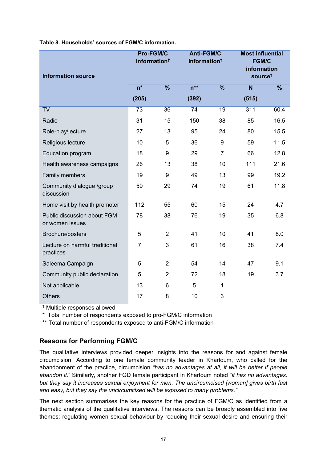| Table 8. Households' sources of FGM/C information. |  |  |
|----------------------------------------------------|--|--|
|                                                    |  |  |

| <b>Information source</b>                      | <b>Pro-FGM/C</b><br><b>Anti-FGM/C</b><br>information <sup>†</sup><br>information <sup>†</sup> |                          |          | <b>Most influential</b><br><b>FGM/C</b><br>information<br>source <sup>t</sup> |       |                          |
|------------------------------------------------|-----------------------------------------------------------------------------------------------|--------------------------|----------|-------------------------------------------------------------------------------|-------|--------------------------|
|                                                | $n^*$                                                                                         | $\overline{\frac{9}{6}}$ | $n^{**}$ | $\overline{\frac{9}{6}}$                                                      | N     | $\overline{\frac{9}{6}}$ |
|                                                | (205)                                                                                         |                          | (392)    |                                                                               | (515) |                          |
| <b>TV</b>                                      | 73                                                                                            | 36                       | 74       | 19                                                                            | 311   | 60.4                     |
| Radio                                          | 31                                                                                            | 15                       | 150      | 38                                                                            | 85    | 16.5                     |
| Role-play\lecture                              | 27                                                                                            | 13                       | 95       | 24                                                                            | 80    | 15.5                     |
| Religious lecture                              | 10                                                                                            | 5                        | 36       | 9                                                                             | 59    | 11.5                     |
| Education program                              | 18                                                                                            | 9                        | 29       | $\overline{7}$                                                                | 66    | 12.8                     |
| Health awareness campaigns                     | 26                                                                                            | 13                       | 38       | 10                                                                            | 111   | 21.6                     |
| Family members                                 | 19                                                                                            | 9                        | 49       | 13                                                                            | 99    | 19.2                     |
| Community dialogue /group<br>discussion        | 59                                                                                            | 29                       | 74       | 19                                                                            | 61    | 11.8                     |
| Home visit by health promoter                  | 112                                                                                           | 55                       | 60       | 15                                                                            | 24    | 4.7                      |
| Public discussion about FGM<br>or women issues | 78                                                                                            | 38                       | 76       | 19                                                                            | 35    | 6.8                      |
| Brochure/posters                               | 5                                                                                             | $\overline{2}$           | 41       | 10                                                                            | 41    | 8.0                      |
| Lecture on harmful traditional<br>practices    | $\overline{7}$                                                                                | 3                        | 61       | 16                                                                            | 38    | 7.4                      |
| Saleema Campaign                               | 5                                                                                             | $\overline{2}$           | 54       | 14                                                                            | 47    | 9.1                      |
| Community public declaration                   | 5                                                                                             | $\overline{2}$           | 72       | 18                                                                            | 19    | 3.7                      |
| Not applicable                                 | 13                                                                                            | 6                        | 5        | $\mathbf{1}$                                                                  |       |                          |
| <b>Others</b>                                  | 17                                                                                            | 8                        | 10       | 3                                                                             |       |                          |

† Multiple responses allowed

\* Total number of respondents exposed to pro-FGM/C information

\*\* Total number of respondents exposed to anti-FGM/C information

#### <span id="page-27-0"></span>**Reasons for Performing FGM/C**

The qualitative interviews provided deeper insights into the reasons for and against female circumcision. According to one female community leader in Khartoum, who called for the abandonment of the practice, circumcision *"has no advantages at all, it will be better if people abandon it.*" Similarly, another FGD female participant in Khartoum noted *"it has no advantages, but they say it increases sexual enjoyment for men. The uncircumcised [woman] gives birth fast and easy, but they say the uncircumcised will be exposed to many problems."*

The next section summarises the key reasons for the practice of FGM/C as identified from a thematic analysis of the qualitative interviews. The reasons can be broadly assembled into five themes: regulating women sexual behaviour by reducing their sexual desire and ensuring their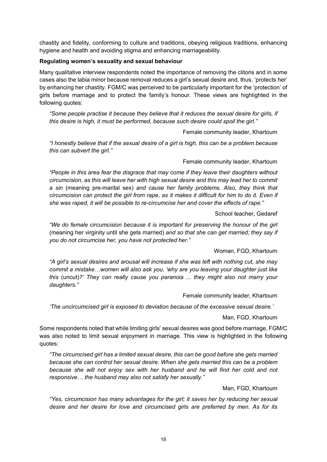chastity and fidelity, conforming to culture and traditions, obeying religious traditions, enhancing hygiene and health and avoiding stigma and enhancing marriageability.

#### <span id="page-28-0"></span>**Regulating women's sexuality and sexual behaviour**

Many qualitative interview respondents noted the importance of removing the clitoris and in some cases also the labia minor because removal reduces a girl's sexual desire and, thus, 'protects her' by enhancing her chastity. FGM/C was perceived to be particularly important for the 'protection' of girls before marriage and to protect the family's honour. These views are highlighted in the following quotes:

*"Some people practise it because they believe that it reduces the sexual desire for girls, if this desire is high, it must be performed, because such desire could spoil the girl."*

Female community leader, Khartoum

*"I honestly believe that if the sexual desire of a girl is high, this can be a problem because this can subvert the girl."* 

#### Female community leader, Khartoum

*"People in this area fear the disgrace that may come if they leave their daughters without circumcision, as this will leave her with high sexual desire and this may lead her to commit a sin* (meaning pre-marital sex) *and cause her family problems. Also, they think that circumcision can protect the girl from rape, as it makes it difficult for him to do it. Even if she was raped, it will be possible to re-circumcise her and cover the effects of rape."*

School teacher, Gedaref

*"We do female circumcision because it is important for preserving the honour of the girl*  (meaning her virginity until she gets married) *and so that she can get married; they say if you do not circumcise her, you have not protected her."*

Woman, FGD, Khartoum

*"A girl's sexual desires and arousal will increase if she was left with nothing cut, she may commit a mistake…women will also ask you, 'why are you leaving your daughter just like this* (uncut)*?' They can really cause you paranoia ... they might also not marry your daughters."*

Female community leader, Khartoum

*'The uncircumcised girl is exposed to deviation because of the excessive sexual desire.'* 

Man, FGD, Khartoum

Some respondents noted that while limiting girls' sexual desires was good before marriage, FGM/C was also noted to limit sexual enjoyment in marriage. This view is highlighted in the following quotes:

*"The circumcised girl has a limited sexual desire, this can be good before she gets married because she can control her sexual desire. When she gets married this can be a problem because she will not enjoy sex with her husband and he will find her cold and not responsive… the husband may also not satisfy her sexually."* 

Man, FGD, Khartoum

*"Yes, circumcision has many advantages for the girl; it saves her by reducing her sexual desire and her desire for love and circumcised girls are preferred by men. As for its*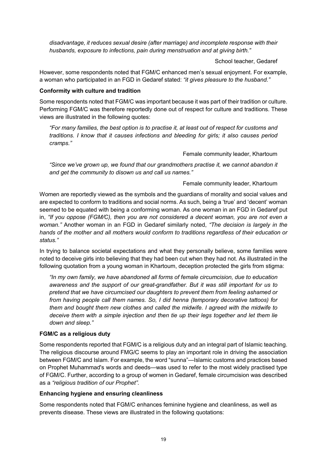*disadvantage, it reduces sexual desire (after marriage) and incomplete response with their husbands, exposure to infections, pain during menstruation and at giving birth."*

School teacher, Gedaref

However, some respondents noted that FGM/C enhanced men's sexual enjoyment. For example, a woman who participated in an FGD in Gedaref stated: *"it gives pleasure to the husband."*

#### <span id="page-29-0"></span>**Conformity with culture and tradition**

Some respondents noted that FGM/C was important because it was part of their tradition or culture. Performing FGM/C was therefore reportedly done out of respect for culture and traditions. These views are illustrated in the following quotes:

*"For many families, the best option is to practise it, at least out of respect for customs and traditions. I know that it causes infections and bleeding for girls; it also causes period cramps."*

Female community leader, Khartoum

*"Since we've grown up, we found that our grandmothers practise it, we cannot abandon it and get the community to disown us and call us names."*

#### Female community leader, Khartoum

Women are reportedly viewed as the symbols and the guardians of morality and social values and are expected to conform to traditions and social norms. As such, being a 'true' and 'decent' woman seemed to be equated with being a conforming woman. As one woman in an FGD in Gedaref put in, *"If you oppose (FGM/C), then you are not considered a decent woman, you are not even a woman."* Another woman in an FGD in Gedaref similarly noted, *"The decision is largely in the hands of the mother and all mothers would conform to traditions regardless of their education or status."*

In trying to balance societal expectations and what they personally believe, some families were noted to deceive girls into believing that they had been cut when they had not. As illustrated in the following quotation from a young woman in Khartoum, deception protected the girls from stigma:

*"In my own family, we have abandoned all forms of female circumcision, due to education awareness and the support of our great-grandfather. But it was still important for us to pretend that we have circumcised our daughters to prevent them from feeling ashamed or from having people call them names. So, I did henna (temporary decorative tattoos) for them and bought them new clothes and called the midwife. I agreed with the midwife to deceive them with a simple injection and then tie up their legs together and let them lie down and sleep."*

#### <span id="page-29-1"></span>**FGM/C as a religious duty**

Some respondents reported that FGM/C is a religious duty and an integral part of Islamic teaching. The religious discourse around FMG/C seems to play an important role in driving the association between FGM/C and Islam. For example, the word "sunna"—Islamic customs and practices based on Prophet Muhammad's words and deeds—was used to refer to the most widely practised type of FGM/C. Further, according to a group of women in Gedaref, female circumcision was described as a *"religious tradition of our Prophet"*.

#### <span id="page-29-2"></span>**Enhancing hygiene and ensuring cleanliness**

Some respondents noted that FGM/C enhances feminine hygiene and cleanliness, as well as prevents disease. These views are illustrated in the following quotations: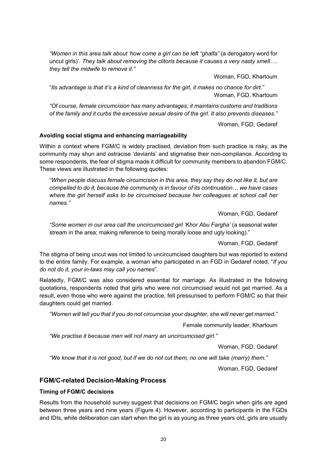*"Women in this area talk about 'how come a girl can be left "ghalfa"* (a derogatory word for uncut girls)'. *They talk about removing the clitoris because it causes a very nasty smell…. they tell the midwife to remove it."*

Woman, FGD, Khartoum

"*Its advantage is that it's a kind of cleanness for the girl, it makes no chance for dirt."* Woman, FGD, Khartoum

*"Of course, female circumcision has many advantages; it maintains customs and traditions of the family and it curbs the excessive sexual desire of the girl. It also prevents diseases."*

Woman, FGD, Gedaref

#### <span id="page-30-0"></span>**Avoiding social stigma and enhancing marriageability**

Within a context where FGM/C is widely practised, deviation from such practice is risky, as the community may shun and ostracise 'deviants' and stigmatise their non-compliance. According to some respondents, the fear of stigma made it difficult for community members to abandon FGM/C. These views are illustrated in the following quotes:

*"When people discuss female circumcision in this area, they say they do not like it, but are compelled to do it, because the community is in favour of its continuation… we have cases where the girl herself asks to be circumcised because her colleagues at school call her names."*

Woman, FGD, Gedaref

*"Some women in our area call the uncircumcised girl 'Khor Abu Fargha'* (a seasonal water stream in the area; making reference to being morally loose and ugly looking)."

Woman, FGD, Gedaref

The stigma of being uncut was not limited to uncircumcised daughters but was reported to extend to the entire family. For example, a woman who participated in an FGD in Gedaref noted, "*If you do not do it, your in-laws may call you names*".

Relatedly, FGM/C was also considered essential for marriage. As illustrated in the following quotations, respondents noted that girls who were not circumcised would not get married. As a result, even those who were against the practice, felt pressurised to perform FGM/C so that their daughters could get married.

*"Women will tell you that if you do not circumcise your daughter, she will never get married."*

Female community leader, Khartoum

*"We practise it because men will not marry an uncircumcised girl."*

Woman, FGD, Gedaref

*"We know that it is not good, but if we do not cut them, no one will take (marry) them."*

Woman, FGD, Gedaref

#### <span id="page-30-1"></span>**FGM/C-related Decision-Making Process**

#### <span id="page-30-2"></span>**Timing of FGM/C decisions**

Results from the household survey suggest that decisions on FGM/C begin when girls are aged between three years and nine years (Figure 4). However, according to participants in the FGDs and IDIs, while deliberation can start when the girl is as young as three years old, girls are usually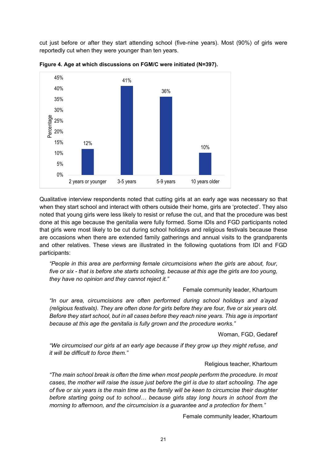cut just before or after they start attending school (five-nine years). Most (90%) of girls were reportedly cut when they were younger than ten years.



**Figure 4. Age at which discussions on FGM/C were initiated (N=397).**

Qualitative interview respondents noted that cutting girls at an early age was necessary so that when they start school and interact with others outside their home, girls are 'protected'. They also noted that young girls were less likely to resist or refuse the cut, and that the procedure was best done at this age because the genitalia were fully formed. Some IDIs and FGD participants noted that girls were most likely to be cut during school holidays and religious festivals because these are occasions when there are extended family gatherings and annual visits to the grandparents and other relatives. These views are illustrated in the following quotations from IDI and FGD participants:

*"People in this area are performing female circumcisions when the girls are about, four, five or six - that is before she starts schooling, because at this age the girls are too young, they have no opinion and they cannot reject it."*

#### Female community leader, Khartoum

*"In our area, circumcisions are often performed during school holidays and a'ayad (religious festivals). They are often done for girls before they are four, five or six years old. Before they start school, but in all cases before they reach nine years. This age is important because at this age the genitalia is fully grown and the procedure works."*

Woman, FGD, Gedaref

*"We circumcised our girls at an early age because if they grow up they might refuse, and it will be difficult to force them."*

#### Religious teacher, Khartoum

*"The main school break is often the time when most people perform the procedure. In most cases, the mother will raise the issue just before the girl is due to start schooling. The age of five or six years is the main time as the family will be keen to circumcise their daughter before starting going out to school… because girls stay long hours in school from the morning to afternoon, and the circumcision is a guarantee and a protection for them."*

Female community leader, Khartoum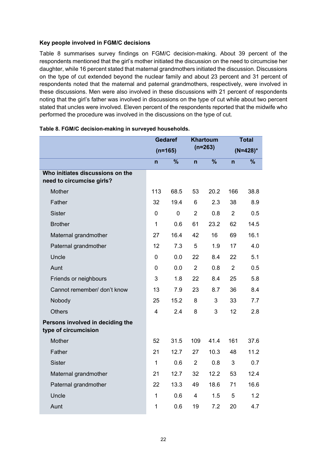#### <span id="page-32-0"></span>**Key people involved in FGM/C decisions**

Table 8 summarises survey findings on FGM/C decision-making. About 39 percent of the respondents mentioned that the girl's mother initiated the discussion on the need to circumcise her daughter, while 16 percent stated that maternal grandmothers initiated the discussion. Discussions on the type of cut extended beyond the nuclear family and about 23 percent and 31 percent of respondents noted that the maternal and paternal grandmothers, respectively, were involved in these discussions. Men were also involved in these discussions with 21 percent of respondents noting that the girl's father was involved in discussions on the type of cut while about two percent stated that uncles were involved. Eleven percent of the respondents reported that the midwife who performed the procedure was involved in the discussions on the type of cut.

|                                                               | <b>Gedaref</b> |             | <b>Khartoum</b> |                          | <b>Total</b>   |             |
|---------------------------------------------------------------|----------------|-------------|-----------------|--------------------------|----------------|-------------|
|                                                               |                | $(n=165)$   |                 | $(n=263)$                |                | $(N=428)^*$ |
|                                                               | n              | $\%$        | $\mathsf{n}$    | $\overline{\frac{9}{6}}$ | $\overline{n}$ | $\%$        |
| Who initiates discussions on the<br>need to circumcise girls? |                |             |                 |                          |                |             |
| Mother                                                        | 113            | 68.5        | 53              | 20.2                     | 166            | 38.8        |
| Father                                                        | 32             | 19.4        | 6               | 2.3                      | 38             | 8.9         |
| <b>Sister</b>                                                 | $\Omega$       | $\mathbf 0$ | $\overline{2}$  | 0.8                      | $\overline{2}$ | 0.5         |
| <b>Brother</b>                                                | $\mathbf{1}$   | 0.6         | 61              | 23.2                     | 62             | 14.5        |
| Maternal grandmother                                          | 27             | 16.4        | 42              | 16                       | 69             | 16.1        |
| Paternal grandmother                                          | 12             | 7.3         | 5               | 1.9                      | 17             | 4.0         |
| Uncle                                                         | 0              | 0.0         | 22              | 8.4                      | 22             | 5.1         |
| Aunt                                                          | 0              | 0.0         | $\overline{2}$  | 0.8                      | $\overline{2}$ | 0.5         |
| Friends or neighbours                                         | 3              | 1.8         | 22              | 8.4                      | 25             | 5.8         |
| Cannot remember/ don't know                                   | 13             | 7.9         | 23              | 8.7                      | 36             | 8.4         |
| Nobody                                                        | 25             | 15.2        | 8               | 3                        | 33             | 7.7         |
| <b>Others</b>                                                 | $\overline{4}$ | 2.4         | 8               | 3                        | 12             | 2.8         |
| Persons involved in deciding the<br>type of circumcision      |                |             |                 |                          |                |             |
| Mother                                                        | 52             | 31.5        | 109             | 41.4                     | 161            | 37.6        |
| Father                                                        | 21             | 12.7        | 27              | 10.3                     | 48             | 11.2        |
| <b>Sister</b>                                                 | 1              | 0.6         | $\overline{2}$  | 0.8                      | 3              | 0.7         |
| Maternal grandmother                                          | 21             | 12.7        | 32              | 12.2                     | 53             | 12.4        |
| Paternal grandmother                                          | 22             | 13.3        | 49              | 18.6                     | 71             | 16.6        |
| Uncle                                                         | 1              | 0.6         | 4               | 1.5                      | 5              | 1.2         |
| Aunt                                                          | 1              | 0.6         | 19              | 7.2                      | 20             | 4.7         |

|  |  |  |  | Table 8. FGM/C decision-making in surveyed households. |
|--|--|--|--|--------------------------------------------------------|
|--|--|--|--|--------------------------------------------------------|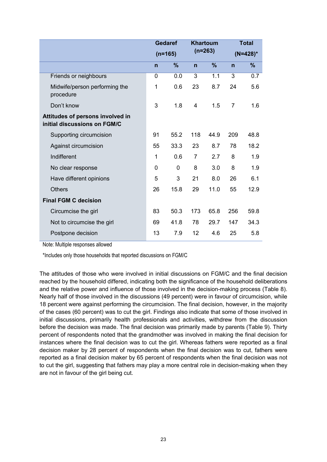|                                                                  | <b>Gedaref</b> |               | <b>Khartoum</b> |               | <b>Total</b>   |      |
|------------------------------------------------------------------|----------------|---------------|-----------------|---------------|----------------|------|
|                                                                  |                | $(n=165)$     | $(n=263)$       |               | $(N=428)^*$    |      |
|                                                                  | $\mathsf{n}$   | $\frac{9}{6}$ | $\mathsf{n}$    | $\frac{9}{6}$ | $\mathsf{n}$   | %    |
| Friends or neighbours                                            | 0              | 0.0           | $\overline{3}$  | 1.1           | $\overline{3}$ | 0.7  |
| Midwife/person performing the<br>procedure                       | 1              | 0.6           | 23              | 8.7           | 24             | 5.6  |
| Don't know                                                       | 3              | 1.8           | 4               | 1.5           | $\overline{7}$ | 1.6  |
| Attitudes of persons involved in<br>initial discussions on FGM/C |                |               |                 |               |                |      |
| Supporting circumcision                                          | 91             | 55.2          | 118             | 44.9          | 209            | 48.8 |
| Against circumcision                                             | 55             | 33.3          | 23              | 8.7           | 78             | 18.2 |
| Indifferent                                                      | 1              | 0.6           | $\overline{7}$  | 2.7           | 8              | 1.9  |
| No clear response                                                | 0              | 0             | 8               | 3.0           | 8              | 1.9  |
| Have different opinions                                          | 5              | 3             | 21              | 8.0           | 26             | 6.1  |
| <b>Others</b>                                                    | 26             | 15.8          | 29              | 11.0          | 55             | 12.9 |
| <b>Final FGM C decision</b>                                      |                |               |                 |               |                |      |
| Circumcise the girl                                              | 83             | 50.3          | 173             | 65.8          | 256            | 59.8 |
| Not to circumcise the girl                                       | 69             | 41.8          | 78              | 29.7          | 147            | 34.3 |
| Postpone decision                                                | 13             | 7.9           | 12              | 4.6           | 25             | 5.8  |

Note: Multiple responses allowed

\*Includes only those households that reported discussions on FGM/C

The attitudes of those who were involved in initial discussions on FGM/C and the final decision reached by the household differed, indicating both the significance of the household deliberations and the relative power and influence of those involved in the decision-making process (Table 8). Nearly half of those involved in the discussions (49 percent) were in favour of circumcision, while 18 percent were against performing the circumcision. The final decision, however, in the majority of the cases (60 percent) was to cut the girl. Findings also indicate that some of those involved in initial discussions, primarily health professionals and activities, withdrew from the discussion before the decision was made. The final decision was primarily made by parents (Table 9). Thirty percent of respondents noted that the grandmother was involved in making the final decision for instances where the final decision was to cut the girl. Whereas fathers were reported as a final decision maker by 28 percent of respondents when the final decision was to cut, fathers were reported as a final decision maker by 65 percent of respondents when the final decision was not to cut the girl, suggesting that fathers may play a more central role in decision-making when they are not in favour of the girl being cut.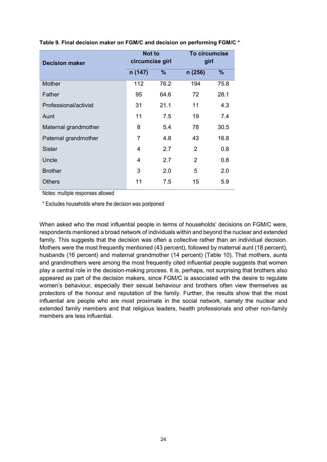| <b>Decision maker</b> | <b>Not to</b><br>circumcise girl |      | To circumcise<br>girl |      |  |
|-----------------------|----------------------------------|------|-----------------------|------|--|
|                       | n (147)                          | $\%$ | n (256)               | %    |  |
| Mother                | 112                              | 76.2 | 194                   | 75.8 |  |
| Father                | 95                               | 64.6 | 72                    | 28.1 |  |
| Professional/activist | 31                               | 21.1 | 11                    | 4.3  |  |
| Aunt                  | 11                               | 7.5  | 19                    | 7.4  |  |
| Maternal grandmother  | 8                                | 5.4  | 78                    | 30.5 |  |
| Paternal grandmother  | 7                                | 4.8  | 43                    | 16.8 |  |
| <b>Sister</b>         | 4                                | 2.7  | $\overline{2}$        | 0.8  |  |
| Uncle                 | 4                                | 2.7  | $\overline{2}$        | 0.8  |  |
| <b>Brother</b>        | 3                                | 2.0  | 5                     | 2.0  |  |
| <b>Others</b>         | 11                               | 7.5  | 15                    | 5.9  |  |

#### **Table 9. Final decision maker on FGM/C and decision on performing FGM/C \***

Notes: multiple responses allowed

\* Excludes households where the decision was postponed

When asked who the most influential people in terms of households' decisions on FGM/C were, respondents mentioned a broad network of individuals within and beyond the nuclear and extended family. This suggests that the decision was often a collective rather than an individual decision. Mothers were the most frequently mentioned (43 percent), followed by maternal aunt (18 percent), husbands (16 percent) and maternal grandmother (14 percent) (Table 10). That mothers, aunts and grandmothers were among the most frequently cited influential people suggests that women play a central role in the decision-making process. It is, perhaps, not surprising that brothers also appeared as part of the decision makers, since FGM/C is associated with the desire to regulate women's behaviour, especially their sexual behaviour and brothers often view themselves as protectors of the honour and reputation of the family. Further, the results show that the most influential are people who are most proximate in the social network, namely the nuclear and extended family members and that religious leaders, health professionals and other non-family members are less influential.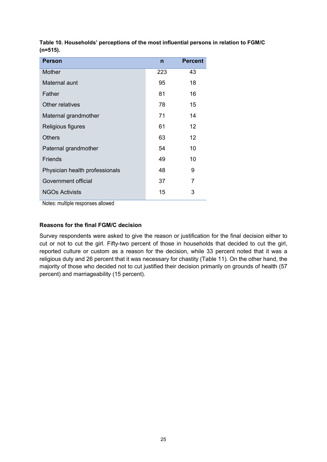| <b>Person</b>                  | $\mathsf{n}$ | <b>Percent</b> |
|--------------------------------|--------------|----------------|
| Mother                         | 223          | 43             |
| Maternal aunt                  | 95           | 18             |
| Father                         | 81           | 16             |
| Other relatives                | 78           | 15             |
| Maternal grandmother           | 71           | 14             |
| Religious figures              | 61           | 12             |
| <b>Others</b>                  | 63           | 12             |
| Paternal grandmother           | 54           | 10             |
| <b>Friends</b>                 | 49           | 10             |
| Physician health professionals | 48           | 9              |
| Government official            | 37           | 7              |
| <b>NGOs Activists</b>          | 15           | 3              |

**Table 10. Households' perceptions of the most influential persons in relation to FGM/C (n=515).**

Notes: multiple responses allowed

#### <span id="page-35-0"></span>**Reasons for the final FGM/C decision**

Survey respondents were asked to give the reason or justification for the final decision either to cut or not to cut the girl. Fifty-two percent of those in households that decided to cut the girl, reported culture or custom as a reason for the decision, while 33 percent noted that it was a religious duty and 26 percent that it was necessary for chastity (Table 11). On the other hand, the majority of those who decided not to cut justified their decision primarily on grounds of health (57 percent) and marriageability (15 percent).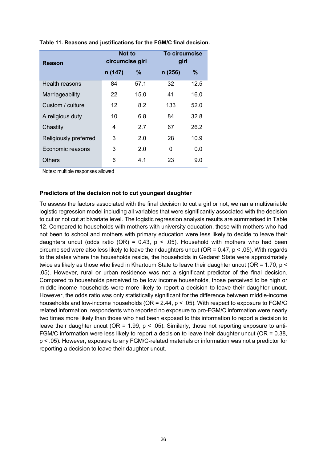| <b>Reason</b>         | <b>Not to</b><br>circumcise girl |      | To circumcise<br>girl |      |  |
|-----------------------|----------------------------------|------|-----------------------|------|--|
|                       | n (147)                          | $\%$ | n(256)                | $\%$ |  |
| Health reasons        | 84                               | 57.1 | 32                    | 12.5 |  |
| Marriageability       | 22                               | 15.0 | 41                    | 16.0 |  |
| Custom / culture      | $12 \overline{ }$                | 8.2  | 133                   | 52.0 |  |
| A religious duty      | 10                               | 6.8  | 84                    | 32.8 |  |
| Chastity              | 4                                | 2.7  | 67                    | 26.2 |  |
| Religiously preferred | 3                                | 2.0  | 28                    | 10.9 |  |
| Economic reasons      | 3                                | 2.0  | 0                     | 0.0  |  |
| Others                | 6                                | 4.1  | 23                    | 9.0  |  |

**Table 11. Reasons and justifications for the FGM/C final decision.**

Notes: multiple responses allowed

#### <span id="page-36-0"></span>**Predictors of the decision not to cut youngest daughter**

To assess the factors associated with the final decision to cut a girl or not, we ran a multivariable logistic regression model including all variables that were significantly associated with the decision to cut or not cut at bivariate level. The logistic regression analysis results are summarised in Table 12. Compared to households with mothers with university education, those with mothers who had not been to school and mothers with primary education were less likely to decide to leave their daughters uncut (odds ratio (OR) =  $0.43$ , p <  $.05$ ). Household with mothers who had been circumcised were also less likely to leave their daughters uncut ( $OR = 0.47$ ,  $p < .05$ ). With regards to the states where the households reside, the households in Gedaref State were approximately twice as likely as those who lived in Khartoum State to leave their daughter uncut (OR = 1.70, p < .05). However, rural or urban residence was not a significant predictor of the final decision. Compared to households perceived to be low income households, those perceived to be high or middle-income households were more likely to report a decision to leave their daughter uncut. However, the odds ratio was only statistically significant for the difference between middle-income households and low-income households ( $OR = 2.44$ ,  $p < .05$ ). With respect to exposure to FGM/C related information, respondents who reported no exposure to pro-FGM/C information were nearly two times more likely than those who had been exposed to this information to report a decision to leave their daughter uncut (OR = 1.99,  $p < .05$ ). Similarly, those not reporting exposure to anti-FGM/C information were less likely to report a decision to leave their daughter uncut ( $OR = 0.38$ , p < .05). However, exposure to any FGM/C-related materials or information was not a predictor for reporting a decision to leave their daughter uncut.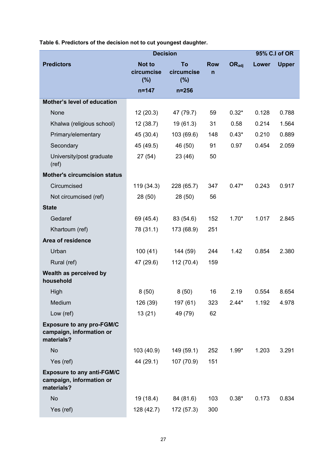|                                                                             | <b>Decision</b>                    |                         |                 | 95% C.I of OR     |       |              |
|-----------------------------------------------------------------------------|------------------------------------|-------------------------|-----------------|-------------------|-------|--------------|
| <b>Predictors</b>                                                           | <b>Not to</b><br>circumcise<br>(%) | To<br>circumcise<br>(%) | <b>Row</b><br>n | $OR_{\text{adj}}$ | Lower | <b>Upper</b> |
|                                                                             | $n = 147$                          | $n = 256$               |                 |                   |       |              |
| <b>Mother's level of education</b>                                          |                                    |                         |                 |                   |       |              |
| None                                                                        | 12(20.3)                           | 47 (79.7)               | 59              | $0.32*$           | 0.128 | 0.788        |
| Khalwa (religious school)                                                   | 12(38.7)                           | 19(61.3)                | 31              | 0.58              | 0.214 | 1.564        |
| Primary/elementary                                                          | 45 (30.4)                          | 103 (69.6)              | 148             | $0.43*$           | 0.210 | 0.889        |
| Secondary                                                                   | 45 (49.5)                          | 46 (50)                 | 91              | 0.97              | 0.454 | 2.059        |
| University/post graduate<br>(ref)                                           | 27(54)                             | 23 (46)                 | 50              |                   |       |              |
| <b>Mother's circumcision status</b>                                         |                                    |                         |                 |                   |       |              |
| Circumcised                                                                 | 119(34.3)                          | 228 (65.7)              | 347             | $0.47*$           | 0.243 | 0.917        |
| Not circumcised (ref)                                                       | 28 (50)                            | 28(50)                  | 56              |                   |       |              |
| <b>State</b>                                                                |                                    |                         |                 |                   |       |              |
| Gedaref                                                                     | 69 (45.4)                          | 83 (54.6)               | 152             | $1.70*$           | 1.017 | 2.845        |
| Khartoum (ref)                                                              | 78 (31.1)                          | 173 (68.9)              | 251             |                   |       |              |
| Area of residence                                                           |                                    |                         |                 |                   |       |              |
| Urban                                                                       | 100(41)                            | 144 (59)                | 244             | 1.42              | 0.854 | 2.380        |
| Rural (ref)                                                                 | 47 (29.6)                          | 112 (70.4)              | 159             |                   |       |              |
| Wealth as perceived by<br>household                                         |                                    |                         |                 |                   |       |              |
| High                                                                        | 8(50)                              | 8(50)                   | 16              | 2.19              | 0.554 | 8.654        |
| Medium                                                                      | 126 (39)                           | 197 (61)                | 323             | $2.44*$           | 1.192 | 4.978        |
| Low (ref)                                                                   | 13(21)                             | 49 (79)                 | 62              |                   |       |              |
| <b>Exposure to any pro-FGM/C</b><br>campaign, information or<br>materials?  |                                    |                         |                 |                   |       |              |
| <b>No</b>                                                                   | 103 (40.9)                         | 149 (59.1)              | 252             | $1.99*$           | 1.203 | 3.291        |
| Yes (ref)                                                                   | 44 (29.1)                          | 107 (70.9)              | 151             |                   |       |              |
| <b>Exposure to any anti-FGM/C</b><br>campaign, information or<br>materials? |                                    |                         |                 |                   |       |              |
| <b>No</b>                                                                   | 19 (18.4)                          | 84 (81.6)               | 103             | $0.38*$           | 0.173 | 0.834        |
| Yes (ref)                                                                   | 128 (42.7)                         | 172 (57.3)              | 300             |                   |       |              |

**Table 6. Predictors of the decision not to cut youngest daughter.**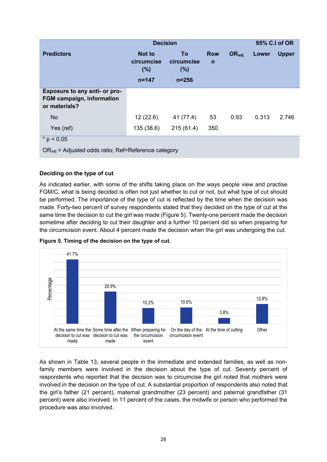|                                                                                    | <b>Decision</b>                                  |                                      |                            |                          | 95% C.I of OR |              |
|------------------------------------------------------------------------------------|--------------------------------------------------|--------------------------------------|----------------------------|--------------------------|---------------|--------------|
| <b>Predictors</b>                                                                  | <b>Not to</b><br>circumcise<br>(% )<br>$n = 147$ | To<br>circumcise<br>(%)<br>$n = 256$ | <b>Row</b><br>$\mathsf{n}$ | <b>OR</b> <sub>adj</sub> | Lower         | <b>Upper</b> |
| Exposure to any anti- or pro-<br><b>FGM campaign, information</b><br>or materials? |                                                  |                                      |                            |                          |               |              |
| <b>No</b>                                                                          | 12(22.6)                                         | 41 (77.4)                            | 53                         | 0.93                     | 0.313         | 2.746        |
| Yes (ref)                                                                          | 135 (38.6)                                       | 215(61.4)                            | 350                        |                          |               |              |
| * $p < 0.05$                                                                       |                                                  |                                      |                            |                          |               |              |
| OR <sub>adi</sub> = Adjusted odds ratio; Ref=Reference category                    |                                                  |                                      |                            |                          |               |              |

#### <span id="page-38-0"></span>**Deciding on the type of cut**

As indicated earlier, with some of the shifts taking place on the ways people view and practise FGM/C, what is being decided is often not just whether to cut or not, but what type of cut should be performed. The importance of the type of cut is reflected by the time when the decision was made. Forty-two percent of survey respondents stated that they decided on the type of cut at the same time the decision to cut the girl was made (Figure 5). Twenty-one percent made the decision sometime after deciding to cut their daughter and a further 10 percent did so when preparing for the circumcision event. About 4 percent made the decision when the girl was undergoing the cut.





As shown in Table 13, several people in the immediate and extended families, as well as nonfamily members were involved in the decision about the type of cut. Seventy percent of respondents who reported that the decision was to circumcise the girl noted that mothers were involved in the decision on the type of cut. A substantial proportion of respondents also noted that the girl's father (21 percent), maternal grandmother (23 percent) and paternal grandfather (31 percent) were also involved. In 11 percent of the cases, the midwife or person who performed the procedure was also involved.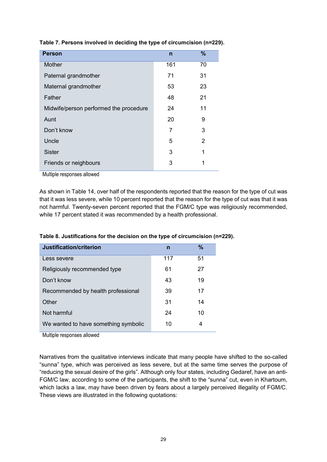| <b>Person</b>                          | $\mathsf{r}$ | %              |
|----------------------------------------|--------------|----------------|
| Mother                                 | 161          | 70             |
| Paternal grandmother                   | 71           | 31             |
| Maternal grandmother                   | 53           | 23             |
| Father                                 | 48           | 21             |
| Midwife/person performed the procedure | 24           | 11             |
| Aunt                                   | 20           | 9              |
| Don't know                             | 7            | 3              |
| Uncle                                  | 5            | $\overline{2}$ |
| <b>Sister</b>                          | 3            | 1              |
| Friends or neighbours                  | 3            | 1              |

#### **Table 7. Persons involved in deciding the type of circumcision (n=229).**

Multiple responses allowed

As shown in Table 14, over half of the respondents reported that the reason for the type of cut was that it was less severe, while 10 percent reported that the reason for the type of cut was that it was not harmful. Twenty-seven percent reported that the FGM/C type was religiously recommended, while 17 percent stated it was recommended by a health professional.

| Justification/criterion              | n   | $\%$ |
|--------------------------------------|-----|------|
| Less severe                          | 117 | 51   |
| Religiously recommended type         | 61  | 27   |
| Don't know                           | 43  | 19   |
| Recommended by health professional   | 39  | 17   |
| Other                                | 31  | 14   |
| Not harmful                          | 24  | 10   |
| We wanted to have something symbolic | 10  | 4    |

**Table 8. Justifications for the decision on the type of circumcision (n=229).**

Multiple responses allowed

Narratives from the qualitative interviews indicate that many people have shifted to the so-called "sunna" type, which was perceived as less severe, but at the same time serves the purpose of "reducing the sexual desire of the girls". Although only four states, including Gedaref, have an anti-FGM/C law, according to some of the participants, the shift to the "sunna" cut, even in Khartoum, which lacks a law, may have been driven by fears about a largely perceived illegality of FGM/C. These views are illustrated in the following quotations: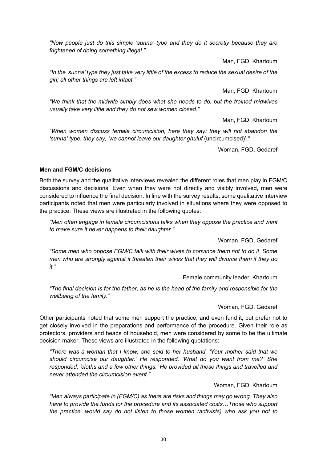*"Now people just do this simple 'sunna' type and they do it secretly because they are frightened of doing something illegal."*

Man, FGD, Khartoum

*"In the 'sunna' type they just take very little of the excess to reduce the sexual desire of the girl; all other things are left intact."*

Man, FGD, Khartoum

*"We think that the midwife simply does what she needs to do, but the trained midwives usually take very little and they do not sew women closed."*

Man, FGD, Khartoum

*"When women discuss female circumcision, here they say: they will not abandon the 'sunna' type, they say, 'we cannot leave our daughter ghuluf* (uncircumcised)'*."*

Woman, FGD, Gedaref

#### <span id="page-40-0"></span>**Men and FGM/C decisions**

Both the survey and the qualitative interviews revealed the different roles that men play in FGM/C discussions and decisions. Even when they were not directly and visibly involved, men were considered to influence the final decision. In line with the survey results, some qualitative interview participants noted that men were particularly involved in situations where they were opposed to the practice. These views are illustrated in the following quotes:

*"Men often engage in female circumcisions talks when they oppose the practice and want to make sure it never happens to their daughter."*

Woman, FGD, Gedaref

*"Some men who oppose FGM/C talk with their wives to convince them not to do it. Some men who are strongly against it threaten their wives that they will divorce them if they do it."*

Female community leader, Khartoum

*"The final decision is for the father, as he is the head of the family and responsible for the wellbeing of the family."*

Woman, FGD, Gedaref

Other participants noted that some men support the practice, and even fund it, but prefer not to get closely involved in the preparations and performance of the procedure. Given their role as protectors, providers and heads of household, men were considered by some to be the ultimate decision maker. These views are illustrated in the following quotations:

*"There was a woman that I know, she said to her husband, 'Your mother said that we should circumcise our daughter.' He responded, 'What do you want from me?' She responded, 'cloths and a few other things.' He provided all these things and travelled and never attended the circumcision event."*

#### Woman, FGD, Khartoum

*"Men always participate in (FGM/C) as there are risks and things may go wrong. They also have to provide the funds for the procedure and its associated costs…Those who support the practice, would say do not listen to those women (activists) who ask you not to*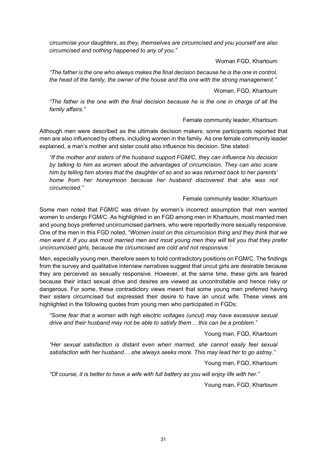*circumcise your daughters, as they, themselves are circumcised and you yourself are also circumcised and nothing happened to any of you."*

Woman FGD, Khartoum

*"The father is the one who always makes the final decision because he is the one in control, the head of the family, the owner of the house and the one with the strong management."*

Woman, FGD, Khartoum

*"The father is the one with the final decision because he is the one in charge of all the family affairs."*

#### Female community leader, Khartoum

Although men were described as the ultimate decision makers, some participants reported that men are also influenced by others, including women in the family. As one female community leader explained, a man's mother and sister could also influence his decision. She stated:

*"If the mother and sisters of the husband support FGM/C, they can influence his decision by talking to him as women about the advantages of circumcision. They can also scare him by telling him stories that the daughter of so and so was returned back to her parents' home from her honeymoon because her husband discovered that she was not circumcised."*

#### Female community leader, Khartoum

Some men noted that FGM/C was driven by women's incorrect assumption that men wanted women to undergo FGM/C. As highlighted in an FGD among men in Khartoum, most married men and young boys preferred uncircumcised partners, who were reportedly more sexually responsive. One of the men in this FGD noted, "*Women insist on this circumcision thing and they think that we men want it. If you ask most married men and most young men they will tell you that they prefer uncircumcised girls, because the circumcised are cold and not responsive.'* 

Men, especially young men, therefore seem to hold contradictory positions on FGM/C. The findings from the survey and qualitative interview narratives suggest that uncut girls are desirable because they are perceived as sexually responsive. However, at the same time, these girls are feared because their intact sexual drive and desires are viewed as uncontrollable and hence risky or dangerous. For some, these contradictory views meant that some young men preferred having their sisters circumcised but expressed their desire to have an uncut wife. These views are highlighted in the following quotes from young men who participated in FGDs:

*"Some fear that a woman with high electric voltages (uncut) may have excessive sexual drive and their husband may not be able to satisfy them… this can be a problem."*

Young man, FGD, Khartoum

*"Her sexual satisfaction is distant even when married, she cannot easily feel sexual satisfaction with her husband… she always seeks more. This may lead her to go astray."*

Young man, FGD, Khartoum

*"Of course, it is better to have a wife with full battery as you will enjoy life with her."*

Young man, FGD, Khartoum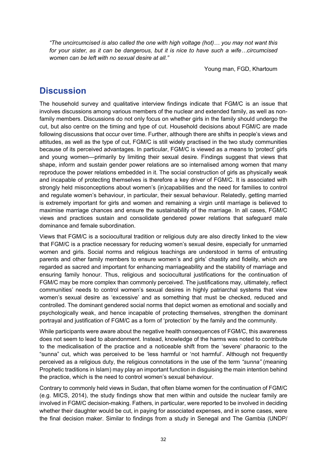*"The uncircumcised is also called the one with high voltage (hot)… you may not want this for your sister, as it can be dangerous, but it is nice to have such a wife…circumcised women can be left with no sexual desire at all."*

Young man, FGD, Khartoum

### <span id="page-42-0"></span>**Discussion**

The household survey and qualitative interview findings indicate that FGM/C is an issue that involves discussions among various members of the nuclear and extended family, as well as nonfamily members. Discussions do not only focus on whether girls in the family should undergo the cut, but also centre on the timing and type of cut. Household decisions about FGM/C are made following discussions that occur over time. Further, although there are shifts in people's views and attitudes, as well as the type of cut, FGM/C is still widely practised in the two study communities because of its perceived advantages. In particular, FGM/C is viewed as a means to 'protect' girls and young women—primarily by limiting their sexual desire. Findings suggest that views that shape, inform and sustain gender power relations are so internalised among women that many reproduce the power relations embedded in it. The social construction of girls as physically weak and incapable of protecting themselves is therefore a key driver of FGM/C. It is associated with strongly held misconceptions about women's (in)capabilities and the need for families to control and regulate women's behaviour, in particular, their sexual behaviour. Relatedly, getting married is extremely important for girls and women and remaining a virgin until marriage is believed to maximise marriage chances and ensure the sustainability of the marriage. In all cases, FGM/C views and practices sustain and consolidate gendered power relations that safeguard male dominance and female subordination.

Views that FGM/C is a sociocultural tradition or religious duty are also directly linked to the view that FGM/C is a practice necessary for reducing women's sexual desire, especially for unmarried women and girls. Social norms and religious teachings are understood in terms of entrusting parents and other family members to ensure women's and girls' chastity and fidelity, which are regarded as sacred and important for enhancing marriageability and the stability of marriage and ensuring family honour. Thus, religious and sociocultural justifications for the continuation of FGM/C may be more complex than commonly perceived. The justifications may, ultimately, reflect communities' needs to control women's sexual desires in highly patriarchal systems that view women's sexual desire as 'excessive' and as something that must be checked, reduced and controlled. The dominant gendered social norms that depict women as emotional and socially and psychologically weak, and hence incapable of protecting themselves, strengthen the dominant portrayal and justification of FGM/C as a form of 'protection' by the family and the community.

While participants were aware about the negative health consequences of FGM/C, this awareness does not seem to lead to abandonment. Instead, knowledge of the harms was noted to contribute to the medicalisation of the practice and a noticeable shift from the 'severe' pharaonic to the "sunna" cut, which was perceived to be 'less harmful or 'not harmful'. Although not frequently perceived as a religious duty, the religious connotations in the use of the term *"sunna"* (meaning Prophetic traditions in Islam) may play an important function in disguising the main intention behind the practice, which is the need to control women's sexual behaviour.

Contrary to commonly held views in Sudan, that often blame women for the continuation of FGM/C (e.g. MICS, 2014), the study findings show that men within and outside the nuclear family are involved in FGM/C decision-making. Fathers, in particular, were reported to be involved in deciding whether their daughter would be cut, in paying for associated expenses, and in some cases, were the final decision maker. Similar to findings from a study in Senegal and The Gambia (UNDP/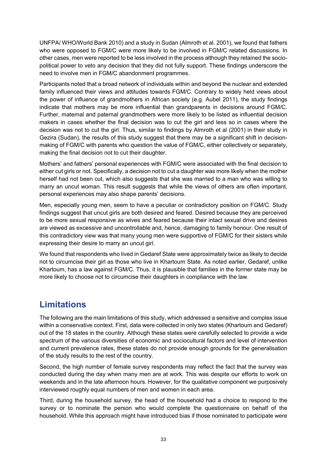UNFPA/ WHO/World Bank 2010) and a study in Sudan (Almroth et al. 2001), we found that fathers who were opposed to FGM/C were more likely to be involved in FGM/C related discussions. In other cases, men were reported to be less involved in the process although they retained the sociopolitical power to veto any decision that they did not fully support. These findings underscore the need to involve men in FGM/C abandonment programmes.

Participants noted that a broad network of individuals within and beyond the nuclear and extended family influenced their views and attitudes towards FGM/C. Contrary to widely held views about the power of influence of grandmothers in African society (e.g. Aubel 2011), the study findings indicate that mothers may be more influential than grandparents in decisions around FGM/C. Further, maternal and paternal grandmothers were more likely to be listed as influential decision makers in cases whether the final decision was to cut the girl and less so in cases where the decision was not to cut the girl. Thus, similar to findings by Almroth et al (2001) in their study in Gezira (Sudan), the results of this study suggest that there may be a significant shift in decisionmaking of FGM/C with parents who question the value of FGM/C, either collectively or separately, making the final decision not to cut their daughter.

Mothers' and fathers' personal experiences with FGM/C were associated with the final decision to either cut girls or not. Specifically, a decision not to cut a daughter was more likely when the mother herself had not been cut, which also suggests that she was married to a man who was willing to marry an uncut woman. This result suggests that while the views of others are often important, personal experiences may also shape parents' decisions.

Men, especially young men, seem to have a peculiar or contradictory position on FGM/C. Study findings suggest that uncut girls are both desired and feared. Desired because they are perceived to be more sexual responsive as wives and feared because their intact sexual drive and desires are viewed as excessive and uncontrollable and, hence, damaging to family honour. One result of this contradictory view was that many young men were supportive of FGM/C for their sisters while expressing their desire to marry an uncut girl.

We found that respondents who lived in Gedaref State were approximately twice as likely to decide not to circumcise their girl as those who live in Khartoum State. As noted earlier, Gedaref, unlike Khartoum, has a law against FGM/C. Thus, it is plausible that families in the former state may be more likely to choose not to circumcise their daughters in compliance with the law.

# **Limitations**

The following are the main limitations of this study, which addressed a sensitive and complex issue within a conservative context. First, data were collected in only two states (Khartoum and Gedaref) out of the 18 states in the country. Although these states were carefully selected to provide a wide spectrum of the various diversities of economic and sociocultural factors and level of intervention and current prevalence rates, these states do not provide enough grounds for the generalisation of the study results to the rest of the country.

Second, the high number of female survey respondents may reflect the fact that the survey was conducted during the day when many men are at work. This was despite our efforts to work on weekends and in the late afternoon hours. However, for the qualitative component we purposively interviewed roughly equal numbers of men and women in each area.

Third, during the household survey, the head of the household had a choice to respond to the survey or to nominate the person who would complete the questionnaire on behalf of the household. While this approach might have introduced bias if those nominated to participate were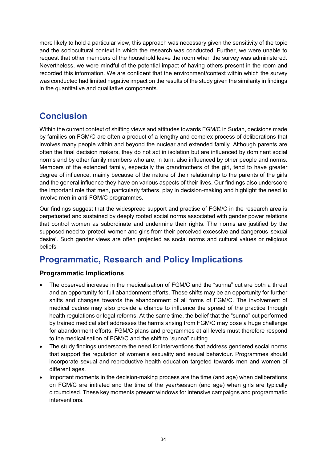more likely to hold a particular view, this approach was necessary given the sensitivity of the topic and the sociocultural context in which the research was conducted. Further, we were unable to request that other members of the household leave the room when the survey was administered. Nevertheless, we were mindful of the potential impact of having others present in the room and recorded this information. We are confident that the environment/context within which the survey was conducted had limited negative impact on the results of the study given the similarity in findings in the quantitative and qualitative components.

# <span id="page-44-0"></span>**Conclusion**

Within the current context of shifting views and attitudes towards FGM/C in Sudan, decisions made by families on FGM/C are often a product of a lengthy and complex process of deliberations that involves many people within and beyond the nuclear and extended family. Although parents are often the final decision makers, they do not act in isolation but are influenced by dominant social norms and by other family members who are, in turn, also influenced by other people and norms. Members of the extended family, especially the grandmothers of the girl, tend to have greater degree of influence, mainly because of the nature of their relationship to the parents of the girls and the general influence they have on various aspects of their lives. Our findings also underscore the important role that men, particularly fathers, play in decision-making and highlight the need to involve men in anti-FGM/C programmes.

Our findings suggest that the widespread support and practise of FGM/C in the research area is perpetuated and sustained by deeply rooted social norms associated with gender power relations that control women as subordinate and undermine their rights. The norms are justified by the supposed need to 'protect' women and girls from their perceived excessive and dangerous 'sexual desire'. Such gender views are often projected as social norms and cultural values or religious beliefs.

# <span id="page-44-1"></span>**Programmatic, Research and Policy Implications**

#### <span id="page-44-2"></span>**Programmatic Implications**

- The observed increase in the medicalisation of FGM/C and the "sunna" cut are both a threat and an opportunity for full abandonment efforts. These shifts may be an opportunity for further shifts and changes towards the abandonment of all forms of FGM/C. The involvement of medical cadres may also provide a chance to influence the spread of the practice through health regulations or legal reforms. At the same time, the belief that the "sunna" cut performed by trained medical staff addresses the harms arising from FGM/C may pose a huge challenge for abandonment efforts. FGM/C plans and programmes at all levels must therefore respond to the medicalisation of FGM/C and the shift to "sunna" cutting.
- The study findings underscore the need for interventions that address gendered social norms that support the regulation of women's sexuality and sexual behaviour. Programmes should incorporate sexual and reproductive health education targeted towards men and women of different ages.
- Important moments in the decision-making process are the time (and age) when deliberations on FGM/C are initiated and the time of the year/season (and age) when girls are typically circumcised. These key moments present windows for intensive campaigns and programmatic interventions.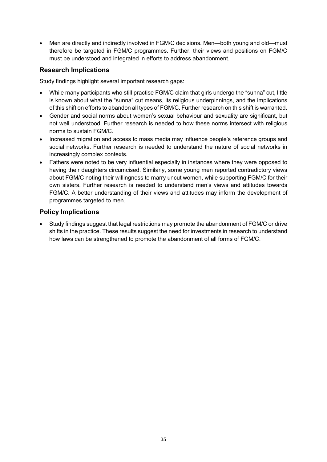• Men are directly and indirectly involved in FGM/C decisions. Men—both young and old—must therefore be targeted in FGM/C programmes. Further, their views and positions on FGM/C must be understood and integrated in efforts to address abandonment.

#### <span id="page-45-0"></span>**Research Implications**

Study findings highlight several important research gaps:

- While many participants who still practise FGM/C claim that girls undergo the "sunna" cut, little is known about what the "sunna" cut means, its religious underpinnings, and the implications of this shift on efforts to abandon all types of FGM/C. Further research on this shift is warranted.
- Gender and social norms about women's sexual behaviour and sexuality are significant, but not well understood. Further research is needed to how these norms intersect with religious norms to sustain FGM/C.
- Increased migration and access to mass media may influence people's reference groups and social networks. Further research is needed to understand the nature of social networks in increasingly complex contexts.
- Fathers were noted to be very influential especially in instances where they were opposed to having their daughters circumcised. Similarly, some young men reported contradictory views about FGM/C noting their willingness to marry uncut women, while supporting FGM/C for their own sisters. Further research is needed to understand men's views and attitudes towards FGM/C. A better understanding of their views and attitudes may inform the development of programmes targeted to men.

#### <span id="page-45-1"></span>**Policy Implications**

• Study findings suggest that legal restrictions may promote the abandonment of FGM/C or drive shifts in the practice. These results suggest the need for investments in research to understand how laws can be strengthened to promote the abandonment of all forms of FGM/C.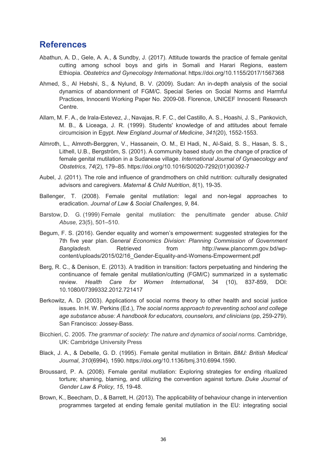### <span id="page-46-0"></span>**References**

- Abathun, A. D., Gele, A. A., & Sundby, J. (2017). Attitude towards the practice of female genital cutting among school boys and girls in Somali and Harari Regions, eastern Ethiopia. *Obstetrics and Gynecology International*. https://doi.org/10.1155/2017/1567368
- Ahmed, S., Al Hebshi, S., & Nylund, B. V. (2009). Sudan: An in-depth analysis of the social dynamics of abandonment of FGM/C. Special Series on Social Norms and Harmful Practices, Innocenti Working Paper No. 2009-08. Florence, UNICEF Innocenti Research Centre.
- Allam, M. F. A., de Irala-Estevez, J., Navajas, R. F. C., del Castillo, A. S., Hoashi, J. S., Pankovich, M. B., & Liceaga, J. R. (1999). Students' knowledge of and attitudes about female circumcision in Egypt. *New England Journal of Medicine*, *341*(20), 1552-1553.
- Almroth, L., Almroth-Berggren, V., Hassanein, O. M., El Hadi, N., Al-Said, S. S., Hasan, S. S., Lithell, U.B., Bergström, S. (2001). A community based study on the change of practice of female genital mutilation in a Sudanese village. *International Journal of Gynaecology and Obstetrics*, *74*(2), 179–85. https://doi.org/10.1016/S0020-7292(01)00392-7
- Aubel, J. (2011). The role and influence of grandmothers on child nutrition: culturally designated advisors and caregivers. *Maternal & Child Nutrition*, *8*(1), 19-35.
- Ballenger, T. (2008). Female genital mutilation: legal and non-legal approaches to eradication. *Journal of Law & Social Challenges*, *9*, 84.
- Barstow, D. G. (1999) Female genital mutilation: the penultimate gender abuse. *Child Abuse,* 23(5), 501–510.
- Begum, F. S. (2016). Gender equality and women's empowerment: suggested strategies for the 7th five year plan. *General Economics Division: Planning Commission of Government*  Bangladesh. **Retrieved** from http://www.plancomm.gov.bd/wpcontent/uploads/2015/02/16\_Gender-Equality-and-Womens-Empowerment.pdf
- Berg, R. C., & Denison, E. (2013). A tradition in transition: factors perpetuating and hindering the continuance of female genital mutilation/cutting (FGM/C) summarized in a systematic review. *Health Care for Women International*, 34 (10), 837-859, DOI: 10.1080/07399332.2012.721417
- Berkowitz, A. D. (2003). Applications of social norms theory to other health and social justice issues. In H. W. Perkins (Ed.), *The social norms approach to preventing school and college age substance abuse: A handbook for educators, counselors, and clinicians* (pp, 259-279). San Francisco: Jossey-Bass.
- Bicchieri, C. 2005. *The grammar of society: The nature and dynamics of social norms*. Cambridge, UK: Cambridge University Press
- Black, J. A., & Debelle, G. D. (1995). Female genital mutilation in Britain. *BMJ: British Medical Journal*, *310*(6994), 1590. https://doi.org/10.1136/bmj.310.6994.1590.
- Broussard, P. A. (2008). Female genital mutilation: Exploring strategies for ending ritualized torture; shaming, blaming, and utilizing the convention against torture. *Duke Journal of Gender Law & Policy*, *15*, 19-48.
- Brown, K., Beecham, D., & Barrett, H. (2013). The applicability of behaviour change in intervention programmes targeted at ending female genital mutilation in the EU: integrating social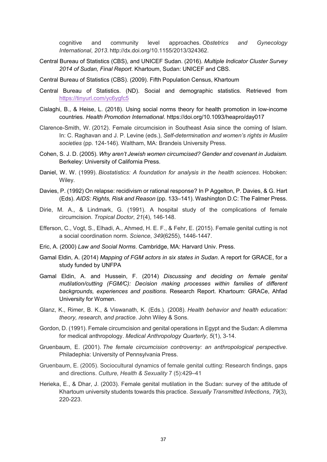cognitive and community level approaches. *Obstetrics and Gynecology International*, *2013*. http://dx.doi.org/10.1155/2013/324362.

- Central Bureau of Statistics (CBS), and UNICEF Sudan. (2016). *Multiple Indicator Cluster Survey 2014 of Sudan, Final Report*. Khartoum, Sudan: UNICEF and CBS.
- Central Bureau of Statistics (CBS). (2009). Fifth Population Census, Khartoum
- Central Bureau of Statistics. (ND). Social and demographic statistics. Retrieved from <https://tinyurl.com/yc6ygfc5>
- Cislaghi, B., & Heise, L. (2018). Using social norms theory for health promotion in low-income countries. *Health Promotion International*. https://doi.org/10.1093/heapro/day017
- Clarence-Smith, W. (2012). Female circumcision in Southeast Asia since the coming of Islam. In: C. Raghavan and J. P. Levine (eds.), *Self-determination and women's rights in Muslim societies* (pp. 124-146)*.* Waltham, MA: Brandeis University Press.
- Cohen, S. J. D. (2005). *Why aren't Jewish women circumcised? Gender and covenant in Judaism*. Berkeley: University of California Press.
- Daniel, W. W. (1999). *Biostatistics: A foundation for analysis in the health sciences*. Hoboken: Wiley.
- Davies, P. (1992) On relapse: recidivism or rational response? In P Aggelton, P. Davies, & G. Hart (Eds). *AIDS: Rights, Risk and Reason* (pp. 133–141). Washington D.C: The Falmer Press.
- Dirie, M. A., & Lindmark, G. (1991). A hospital study of the complications of female circumcision. *Tropical Doctor*, *21*(4), 146-148.
- Efferson, C., Vogt, S., Elhadi, A., Ahmed, H. E. F., & Fehr, E. (2015). Female genital cutting is not a social coordination norm. *Science*, *349*(6255), 1446-1447.
- Eric, A. (2000) *Law and Social Norms*. Cambridge, MA: Harvard Univ. Press.
- Gamal Eldin, A. (2014) *Mapping of FGM actors in six states in Sudan*. A report for GRACE, for a study funded by UNFPA
- Gamal Eldin, A. and Hussein, F. (2014) *Discussing and deciding on female genital mutilation/cutting (FGM/C): Decision making processes within families of different backgrounds, experiences and positions*. Research Report. Khartoum: GRACe, Ahfad University for Women.
- Glanz, K., Rimer, B. K., & Viswanath, K. (Eds.). (2008). *Health behavior and health education: theory, research, and practice*. John Wiley & Sons.
- Gordon, D. (1991). Female circumcision and genital operations in Egypt and the Sudan: A dilemma for medical anthropology. *Medical Anthropology Quarterly*, *5*(1), 3-14.
- Gruenbaum, E. (2001). *The female circumcision controversy: an anthropological perspective*. Philadephia: University of Pennsylvania Press.
- Gruenbaum, E. (2005). Sociocultural dynamics of female genital cutting: Research findings, gaps and directions. *Culture, Health & Sexuality* 7 (5):429–41
- Herieka, E., & Dhar, J. (2003). Female genital mutilation in the Sudan: survey of the attitude of Khartoum university students towards this practice. *Sexually Transmitted Infections*, *79*(3), 220-223.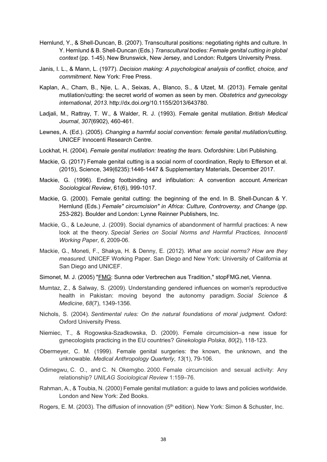- Hernlund, Y., & Shell-Duncan, B. (2007). Transcultural positions: negotiating rights and culture. In Y. Hernlund & B. Shell-Duncan (Eds.) *Transcultural bodies: Female genital cutting in global context* (pp. 1-45). New Brunswick, New Jersey, and London: Rutgers University Press.
- Janis, I. L., & Mann, L. (1977). *Decision making: A psychological analysis of conflict, choice, and commitment*. New York: Free Press.
- Kaplan, A., Cham, B., Njie, L. A., Seixas, A., Blanco, S., & Utzet, M. (2013). Female genital mutilation/cutting: the secret world of women as seen by men. *Obstetrics and gynecology international*, *2013*. http://dx.doi.org/10.1155/2013/643780.
- Ladjali, M., Rattray, T. W., & Walder, R. J. (1993). Female genital mutilation. *British Medical Journal*, *307*(6902), 460-461.
- Lewnes, A. (Ed.). (2005). *Changing a harmful social convention: female genital mutilation/cutting*. UNICEF Innocenti Research Centre.
- Lockhat, H. (2004). *Female genital mutilation: treating the tears*. Oxfordshire: Libri Publishing.
- Mackie, G. (2017) Female genital cutting is a social norm of coordination, Reply to Efferson et al. (2015), Science, 349(6235):1446-1447 & Supplementary Materials, December 2017.
- Mackie, G. (1996). Ending footbinding and infibulation: A convention account. *American Sociological Review*, 61(6), 999-1017.
- Mackie, G. (2000). Female genital cutting: the beginning of the end. In B. Shell-Duncan & Y. Hernlund (Eds.) *Female" circumcision" in Africa: Culture, Controversy, and Change* (pp. 253-282). Boulder and London: Lynne Reinner Publishers, Inc.
- Mackie, G., & LeJeune, J. (2009). Social dynamics of abandonment of harmful practices: A new look at the theory. *Special Series on Social Norms and Harmful Practices, Innocenti Working Paper*, *6*, 2009-06.
- Mackie, G., Moneti, F., Shakya, H. & Denny, E. (2012). *What are social norms? How are they measured*. UNICEF Working Paper. San Diego and New York: University of California at San Diego and UNICEF.
- Simonet, M. J. (2005) ["FMG:](http://www.stopfgm.net/dox/sunna%20od%20verbrechen_referat%20m.j.simonet_jun2005.pdf) Sunna oder Verbrechen aus Tradition," stopFMG.net, Vienna.
- Mumtaz, Z., & Salway, S. (2009). Understanding gendered influences on women's reproductive health in Pakistan: moving beyond the autonomy paradigm. *Social Science & Medicine*, *68*(7), 1349-1356.
- Nichols, S. (2004). *Sentimental rules: On the natural foundations of moral judgment*. Oxford: Oxford University Press.
- Niemiec, T., & Rogowska-Szadkowska, D. (2009). Female circumcision–a new issue for gynecologists practicing in the EU countries? *Ginekologia Polska*, *80*(2), 118-123.
- Obermeyer, C. M. (1999). Female genital surgeries: the known, the unknown, and the unknowable. *Medical Anthropology Quarterly*, *13*(1), 79-106.
- Odimegwu, C. O., and C. N. Okemgbo. 2000. Female circumcision and sexual activity: Any relationship? *UNILAG Sociological Review* 1:159–76.
- Rahman, A., & Toubia, N. (2000) Female genital mutilation: a guide to laws and policies worldwide. London and New York: Zed Books.
- Rogers, E. M. (2003). The diffusion of innovation (5<sup>th</sup> edition). New York: Simon & Schuster, Inc.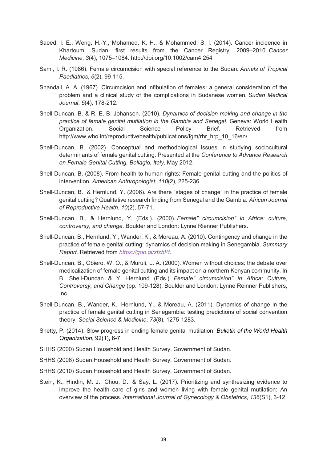- Saeed, I. E., Weng, H.-Y., Mohamed, K. H., & Mohammed, S. I. (2014). Cancer incidence in Khartoum, Sudan: first results from the Cancer Registry, 2009–2010. *Cancer Medicine*, *3*(4), 1075–1084. http://doi.org/10.1002/cam4.254
- Sami, I. R. (1986). Female circumcision with special reference to the Sudan. *Annals of Tropical Paediatrics*, *6*(2), 99-115.
- Shandall, A. A. (1967). Circumcision and infibulation of females: a general consideration of the problem and a clinical study of the complications in Sudanese women. *Sudan Medical Journal*, *5*(4), 178-212.
- Shell-Duncan, B. & R. E. B. Johansen. (2010). *Dynamics of decision-making and change in the practice of female genital mutilation in the Gambia and Senegal*. Geneva: World Health Organization. Social Science Policy Brief. Retrieved from [http://www.who.int/reproductivehealth/publications/fgm/rhr\\_hrp\\_10\\_16/en/](http://www.who.int/reproductivehealth/publications/fgm/rhr_hrp_10_16/en/)
- Shell-Duncan, B. (2002). Conceptual and methodological issues in studying sociocultural determinants of female genital cutting. Presented at the *Conference to Advance Research on Female Genital Cutting, Bellagio, Italy,* May 2012.
- Shell‐Duncan, B. (2008). From health to human rights: Female genital cutting and the politics of intervention. *American Anthropologist*, *110*(2), 225-236.
- Shell-Duncan, B., & Hernlund, Y. (2006). Are there "stages of change" in the practice of female genital cutting? Qualitative research finding from Senegal and the Gambia. *African Journal of Reproductive Health*, *10*(2), 57-71.
- Shell-Duncan, B., & Hernlund, Y. (Eds.). (2000). *Female" circumcision" in Africa: culture, controversy, and change*. Boulder and London: Lynne Rienner Publishers.
- Shell-Duncan, B., Hernlund, Y., Wander, K., & Moreau, A. (2010). Contingency and change in the practice of female genital cutting: dynamics of decision making in Senegambia. *Summary Report.* Retrieved from *[https://goo.gl/zfzbPt.](https://goo.gl/zfzbPt)*
- Shell-Duncan, B., Obiero, W. O., & Muruli, L. A. (2000). Women without choices: the debate over medicalization of female genital cutting and its impact on a northern Kenyan community. In B. Shell-Duncan & Y. Hernlund (Eds.) *Female" circumcision" in Africa: Culture, Controversy, and Change* (pp. 109-128). Boulder and London: Lynne Reinner Publishers, Inc.
- Shell-Duncan, B., Wander, K., Hernlund, Y., & Moreau, A. (2011). Dynamics of change in the practice of female genital cutting in Senegambia: testing predictions of social convention theory. *Social Science & Medicine*, *73*(8), 1275-1283.
- Shetty, P. (2014). Slow progress in ending female genital mutilation. *Bulletin of the World Health Organization*, 92(1), 6-7.
- SHHS (2000) Sudan Household and Health Survey, Government of Sudan.
- SHHS (2006) Sudan Household and Health Survey, Government of Sudan.
- SHHS (2010) Sudan Household and Health Survey, Government of Sudan.
- Stein, K., Hindin, M. J., Chou, D., & Say, L. (2017). Prioritizing and synthesizing evidence to improve the health care of girls and women living with female genital mutilation: An overview of the process. *International Journal of Gynecology & Obstetrics*, *136*(S1), 3-12.